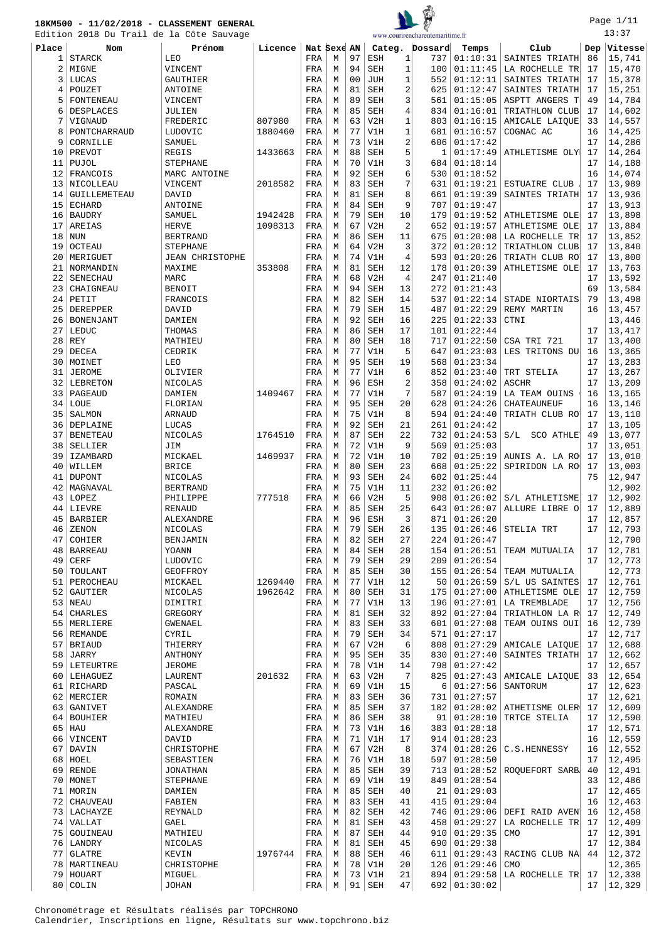



Page 1/11

|           |                           | Edition 2018 Du Trail de la Côte Sauvage |         |             |        |                |                   |                      | www.courirencharentemaritime.fr |                      |                                 |          | 13:37            |
|-----------|---------------------------|------------------------------------------|---------|-------------|--------|----------------|-------------------|----------------------|---------------------------------|----------------------|---------------------------------|----------|------------------|
| Place     | Nom                       | Prénom                                   | Licence | Nat Sexe AN |        |                |                   |                      | Categ. Dossard                  | Temps                | Club                            |          | Dep Vitesse      |
| 1         | <b>STARCK</b>             | LEO                                      |         | FRA         | М      | 97             | ESH               | 1                    | 737                             | 01:10:31             | SAINTES TRIATH                  | 86       | 15,741           |
| 2         | MIGNE                     | VINCENT                                  |         | FRA         | М      | 94             | <b>SEH</b>        | $\mathbf 1$          | 100                             | 01:11:45             | LA ROCHELLE TR                  | 17       | 15,470           |
| 3         | LUCAS                     | GAUTHIER                                 |         | FRA         | М      | 0 <sub>0</sub> | <b>JUH</b>        | $1\,$                | 552                             | 01:12:11             | SAINTES TRIATH                  | 17       | 15,378           |
| 4         | POUZET                    | ANTOINE                                  |         | FRA         | М      | 81             | <b>SEH</b>        | $\overline{a}$       | 625                             | 01:12:47             | SAINTES TRIATH                  | 17       | 15,251           |
| 5         | FONTENEAU                 | VINCENT                                  |         | FRA         | М      | 89             | <b>SEH</b>        | 3                    | 561                             | 01:15:05             | ASPTT ANGERS T                  | 49       | 14,784           |
| 6         | DESPLACES                 | JULIEN                                   |         | FRA         | М      | 85             | SEH               | 4                    | 834                             | 01:16:01             | TRIATHLON CLUB                  | 17       | 14,602           |
| 7         | VIGNAUD                   | FREDERIC                                 | 807980  | FRA         | М      | 63             | V2H               | 1                    | 803                             | 01:16:15             | AMICALE LAIQUE                  | 33       | 14,557           |
| 8         | PONTCHARRAUD              | LUDOVIC                                  | 1880460 | FRA         | М      | 77             | V1H               | 1                    | 681                             | 01:16:57             | COGNAC AC                       | 16       | 14,425           |
| 9         | CORNILLE                  | SAMUEL                                   |         | FRA         | М      | 73             | V1H               | $\overline{a}$       | 606                             | 01:17:42             |                                 | 17       | 14,286           |
| 10        | PREVOT                    | REGIS                                    | 1433663 | FRA         | М      | 88             | <b>SEH</b>        | 5                    | 1                               | 01:17:49             | ATHLETISME OLY                  | 17       | 14,264           |
| 11        | PUJOL                     | <b>STEPHANE</b>                          |         | FRA         | М      | 70             | V1H               | 3                    | 684                             | 01:18:14             |                                 | 17       | 14,188           |
| 12        | FRANCOIS                  | MARC ANTOINE                             |         | FRA         | М      | 92             | <b>SEH</b>        | 6                    | 530                             | 01:18:52             |                                 | 16       | 14,074           |
| 13        | NICOLLEAU                 | VINCENT                                  | 2018582 | FRA         | М      | 83             | SEH               | 7                    | 631                             | 01:19:21             | ESTUAIRE CLUB                   | 17       | 13,989           |
| 14        | GUILLEMETEAU              | DAVID                                    |         | FRA         | М      | 81             | <b>SEH</b>        | 8                    | 661                             | 01:19:39             | SAINTES TRIATH                  | 17       | 13,936           |
| 15        | <b>ECHARD</b>             | ANTOINE                                  |         | FRA         | М      | 84             | SEH               | 9                    | 707                             | 01:19:47             |                                 | 17       | 13,913           |
|           | 16 BAUDRY                 | SAMUEL                                   | 1942428 | FRA         | М      | 79             | SEH               | 10                   | 179                             | 01:19:52             | ATHLETISME OLE                  | 17       | 13,898           |
| 17        | AREIAS                    | <b>HERVE</b>                             | 1098313 | FRA         | М      | 67             | V2H               | $\overline{2}$       | 652                             | 01:19:57             | ATHLETISME OLE                  | 17       | 13,884           |
| 18        | <b>NUN</b>                | <b>BERTRAND</b>                          |         | FRA         | М      | 86             | <b>SEH</b>        | 11                   | 675                             | 01:20:08             | LA ROCHELLE TR                  | 17       | 13,852           |
| 19        | <b>OCTEAU</b>             | <b>STEPHANE</b>                          |         | FRA         | M      | 64             | V2H               | 3                    | 372                             | 01:20:12             | TRIATHLON CLUB                  | 17       | 13,840           |
| 20        | MERIGUET                  | <b>JEAN CHRISTOPHE</b>                   |         | FRA         | М      | 74             | V1H               | $\overline{4}$       | 593                             | 01:20:26             | TRIATH CLUB RO                  | 17       | 13,800           |
| 21        | NORMANDIN                 | MAXIME                                   | 353808  | FRA         | М      | 81             | <b>SEH</b>        | 12                   | 178                             | 01:20:39             | ATHLETISME OLE                  | 17       | 13,763           |
| 22        | SENECHAU                  | MARC<br><b>BENOIT</b>                    |         | FRA         | М      | 68<br>94       | V2H<br><b>SEH</b> | $\overline{4}$<br>13 | 247<br>272                      | 01:21:40<br>01:21:43 |                                 | 17<br>69 | 13,592<br>13,584 |
| 23 <br>24 | CHAIGNEAU<br>PETIT        | FRANCOIS                                 |         | FRA         | М<br>М | 82             | <b>SEH</b>        | 14                   | 537                             | 01:22:14             | STADE NIORTAIS                  | 79       | 13,498           |
| 25        | DEREPPER                  | DAVID                                    |         | FRA<br>FRA  | М      | 79             | SEH               | 15                   | 487                             | 01:22:29             | REMY MARTIN                     | 16       | 13,457           |
| 26        | <b>BONENJANT</b>          | DAMIEN                                   |         | FRA         | М      | 92             | <b>SEH</b>        | 16                   | 225                             | 01:22:33             | CTNI                            |          | 13,446           |
| 27        | LEDUC                     | THOMAS                                   |         | FRA         | М      | 86             | <b>SEH</b>        | 17                   | 101                             | 01:22:44             |                                 | 17       | 13,417           |
| 28        | REY                       | MATHIEU                                  |         | FRA         | М      | 80             | SEH               | 18                   | 717                             | 01:22:50             | CSA TRI 721                     | 17       | 13,400           |
| 29        | DECEA                     | CEDRIK                                   |         | FRA         | М      | 77             | V1H               | 5                    | 647                             | 01:23:03             | LES TRITONS DU                  | 16       | 13,365           |
| 30        | MOINET                    | LEO                                      |         | FRA         | М      | 95             | SEH               | 19                   | 568                             | 01:23:34             |                                 | 17       | 13,283           |
| 31        | <b>JEROME</b>             | OLIVIER                                  |         | FRA         | М      | 77             | V1H               | 6                    | 852                             | 01:23:40             | TRT STELIA                      | 17       | 13,267           |
| 32        | LEBRETON                  | NICOLAS                                  |         | FRA         | М      | 96             | ESH               | 2                    | 358                             | 01:24:02             | <b>ASCHR</b>                    | 17       | 13,209           |
| 33        | PAGEAUD                   | DAMIEN                                   | 1409467 | FRA         | М      | 77             | V1H               | 7                    | 587                             | 01:24:19             | LA TEAM OUINS                   | 16       | 13,165           |
| 34        | LOUE                      | FLORIAN                                  |         | FRA         | М      | 95             | <b>SEH</b>        | 20                   | 628                             | 01:24:26             | CHATEAUNEUF                     | 16       | 13,146           |
| 35        | SALMON                    | <b>ARNAUD</b>                            |         | FRA         | М      | 75             | V1H               | 8                    | 594                             | 01:24:40             | TRIATH CLUB RO                  | 17       | 13,110           |
| 36        | DEPLAINE                  | LUCAS                                    |         | FRA         | М      | 92             | <b>SEH</b>        | 21                   | 261                             | 01:24:42             |                                 | 17       | 13,105           |
| 37        | <b>BENETEAU</b>           | NICOLAS                                  | 1764510 | FRA         | М      | 87             | SEH               | 22                   | 732                             | 01:24:53             | S/L SCO ATHLE                   | 49       | 13,077           |
| 38        | SELLIER                   | JIM                                      |         | FRA         | М      | 72             | V1H               | 9                    | 569                             | 01:25:03             |                                 | 17       | 13,051           |
| 39        | <b>IZAMBARD</b>           | MICKAEL                                  | 1469937 | FRA         | М      | 72             | V1H               | 10                   | 702                             | 01:25:19             | AUNIS A. LA RO                  | 17       | 13,010           |
| 40        | WILLEM                    | <b>BRICE</b>                             |         | FRA         | М      | 80             | <b>SEH</b>        | 23                   | 668                             | 01:25:22             | SPIRIDON LA RO                  | 17       | 13,003           |
| 41        | <b>DUPONT</b>             | NICOLAS                                  |         | FRA         | М      | 93             | SEH               | 24                   | 602                             | 01:25:44             |                                 | 75       | 12,947           |
| 42        | MAGNAVAL                  | <b>BERTRAND</b>                          |         | FRA         | М      | 75             | V1H               | 11                   | 232                             | 01:26:02             |                                 |          | 12,902           |
| 43        | LOPEZ                     | PHILIPPE                                 | 777518  | FRA         | М      | 66             | V2H               | 5                    |                                 | 908   01:26:02       | S/L ATHLETISME                  | 17       | 12,902           |
| 44        | LIEVRE                    | <b>RENAUD</b>                            |         | FRA         | М      | 85             | <b>SEH</b>        | 25                   | 643                             | 01:26:07             | ALLURE LIBRE O                  | 17       | 12,889           |
|           | 45 BARBIER                | <b>ALEXANDRE</b>                         |         | FRA         | М      | 96             | ESH               | 3                    |                                 | $871$ 01:26:20       |                                 | 17       | 12,857           |
| 46        | ZENON                     | NICOLAS                                  |         | FRA         | М      | 79             | SEH               | 26                   |                                 |                      | $135   01:26:46  $ STELIA TRT   |          | $17 \mid 12,793$ |
| 47        | COHIER                    | BENJAMIN                                 |         | FRA         | М      | 82             | SEH               | 27                   | 224                             | 01:26:47             |                                 |          | 12,790           |
| 48        | <b>BARREAU</b>            | YOANN                                    |         | FRA         | М      | 84             | SEH               | 28                   | 154                             | 01:26:51             | TEAM MUTUALIA                   | 17       | 12,781           |
| 49        | CERF                      | LUDOVIC                                  |         | FRA         | М      | 79             | SEH               | 29                   | 209                             | 01:26:54             |                                 | 17       | 12,773           |
| 50        | TOULANT                   | GEOFFROY                                 |         | FRA         | M      | 85             | SEH               | 30                   |                                 | 155   01:26:54       | TEAM MUTUALIA                   |          | 12,773           |
| 51        | PEROCHEAU                 | MICKAEL                                  | 1269440 | FRA         | М      | 77             | V1H               | 12                   | 50                              | 01:26:59             | S/L US SAINTES                  | 17       | 12,761           |
|           | 52 GAUTIER                | NICOLAS                                  | 1962642 | FRA         | М      | 80             | SEH               | 31                   | 175                             | 01:27:00             | ATHLETISME OLE                  | 17       | 12,759           |
| 53        | NEAU                      | DIMITRI                                  |         | FRA         | М      | 77             | V1H               | 13                   | 196                             | 01:27:01             | LA TREMBLADE                    | 17       | 12,756           |
| 54        | CHARLES                   | GREGORY                                  |         | FRA         | M      | 81             | SEH               | 32                   | 892                             | 01:27:04             | TRIATHLON LA R                  | 17       | 12,749           |
|           | 55 MERLIERE<br>56 REMANDE | GWENAEL<br>CYRIL                         |         | FRA<br>FRA  | М<br>М | 83<br>79       | SEH<br>SEH        | 33<br>34             | 601<br>571                      | 01:27:08<br>01:27:17 | TEAM OUINS OUI                  | 16<br>17 | 12,739           |
| 57        | <b>BRIAUD</b>             | THIERRY                                  |         | FRA         | М      | 67             | V2H               | 6                    | 808                             | 01:27:29             | AMICALE LAIQUE                  | 17       | 12,717<br>12,688 |
| 58        | <b>JARRY</b>              | ANTHONY                                  |         | FRA         | М      | 95             | SEH               | 35                   | 830                             | 01:27:40             | SAINTES TRIATH                  | 17       | 12,662           |
|           | 59 LETEURTRE              | JEROME                                   |         | FRA         | M      | 78             | V1H               | 14                   | 798                             | 01:27:42             |                                 | 17       | 12,657           |
| 60        | LEHAGUEZ                  | LAURENT                                  | 201632  | FRA         | М      | 63             | V2H               | 7                    | 825                             | 01:27:43             | AMICALE LAIQUE                  | 33       | 12,654           |
|           | 61 RICHARD                | PASCAL                                   |         | FRA         | М      | 69             | V1H               | 15                   | 6                               | 01:27:56             | SANTORUM                        | 17       | 12,623           |
|           | 62 MERCIER                | ROMAIN                                   |         | FRA         | М      | 83             | SEH               | 36                   | 731                             | 01:27:57             |                                 | 17       | 12,621           |
|           | 63 GANIVET                | ALEXANDRE                                |         | FRA         | М      | 85             | SEH               | 37                   | 182                             |                      | $01:28:02$ ATHETISME OLER       | 17       | 12,609           |
|           | 64 BOUHIER                | MATHIEU                                  |         | FRA         | М      | 86             | SEH               | 38                   | 91                              | 01:28:10             | TRTCE STELIA                    | 17       | 12,590           |
|           | $65$ HAU                  | ALEXANDRE                                |         | FRA         | М      | 73             | V1H               | 16                   | 383                             | 01:28:18             |                                 | 17       | 12,571           |
|           | 66 VINCENT                | DAVID                                    |         | FRA         | M      | 71             | V1H               | 17                   | 914                             | 01:28:23             |                                 | 16       | 12,559           |
| 67        | DAVIN                     | CHRISTOPHE                               |         | FRA         | М      | 67             | V2H               | 8                    | 374                             | 01:28:26             | C.S.HENNESSY                    | 16       | 12,552           |
|           | 68 HOEL                   | SEBASTIEN                                |         | FRA         | М      | 76             | V1H               | 18                   | 597                             | 01:28:50             |                                 | 17       | 12,495           |
|           | $69  $ RENDE              | JONATHAN                                 |         | FRA         | М      | 85             | SEH               | 39                   | 713                             | 01:28:52             | ROQUEFORT SARB                  | 40       | 12,491           |
|           | 70   MONET                | <b>STEPHANE</b>                          |         | FRA         | М      | 69             | V1H               | 19                   | 849                             | 01:28:54             |                                 | 33       | 12,486           |
|           | 71   MORIN                | DAMIEN                                   |         | FRA         | М      | 85             | SEH               | 40                   | 21                              | 01:29:03             |                                 | 17       | 12,465           |
| 72        | <b>CHAUVEAU</b>           | FABIEN                                   |         | FRA         | М      | 83             | SEH               | 41                   | 415                             | 01:29:04             |                                 | 16       | 12,463           |
|           | 73 LACHAYZE               | REYNALD                                  |         | FRA         | М      | 82             | SEH               | 42                   | 746                             | 01:29:06             | DEFI RAID AVEN                  | 16       | 12,458           |
|           | 74   VALLAT               | GAEL                                     |         | FRA         | М      | 81             | SEH               | 43                   | 458                             | 01:29:27             | LA ROCHELLE TR                  | 17       | 12,409           |
|           | 75 GOUINEAU               | MATHIEU                                  |         | FRA         | M      | 87             | SEH               | 44                   | 910                             | 01:29:35             | CMO                             | 17       | 12,391           |
|           | 76   LANDRY               | NICOLAS                                  |         | FRA         | М      | 81             | SEH               | 45                   | 690                             | 01:29:38             |                                 | 17       | 12,384           |
|           | $77$ GLATRE               | KEVIN                                    | 1976744 | FRA         | М      | 88             | SEH               | 46                   | 611                             | 01:29:43             | RACING CLUB NA                  | 44       | 12,372           |
|           | 78   MARTINEAU            | CHRISTOPHE                               |         | FRA         | М      | 78             | V1H               | 20                   | 126                             | 01:29:46             | CMO                             |          | 12,365           |
|           | 79   HOUART               | MIGUEL                                   |         | FRA         | M      | 73             | V1H               | 21                   |                                 |                      | 894   01:29:58   LA ROCHELLE TR | 17       | 12,338           |
|           | 80 COLIN                  | <b>JOHAN</b>                             |         | FRA         | М      | 91             | SEH               | 47                   |                                 | 692 01:30:02         |                                 | 17       | 12,329           |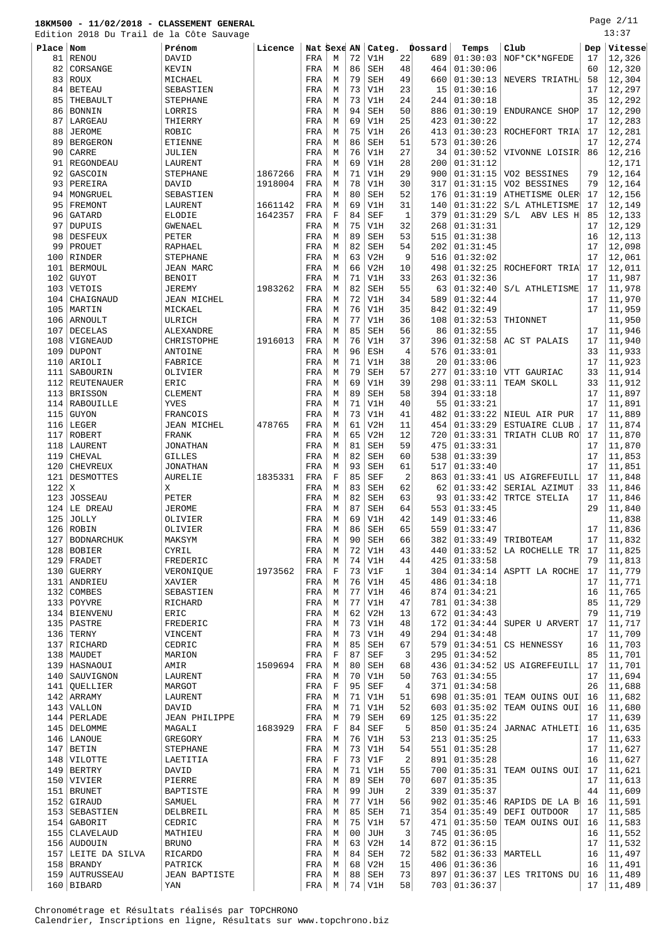Page 2/11

|           | Edition 2018 Du Trail de la Côte Sauvage |                      |         |             |         |    |            |                |         |                      |                           |     | 13:37   |
|-----------|------------------------------------------|----------------------|---------|-------------|---------|----|------------|----------------|---------|----------------------|---------------------------|-----|---------|
| Place Nom |                                          | Prénom               | Licence | Nat Sexe AN |         |    | Categ.     |                | Þossard | Temps                | Club                      | Dep | Vitesse |
| 81        | RENOU                                    | DAVID                |         | FRA         | М       | 72 | V1H        | 22             | 689     | 01:30:03             | NOF*CK*NGFEDE             | 17  | 12,326  |
| 82        | CORSANGE                                 | KEVIN                |         | FRA         | М       | 86 | <b>SEH</b> | 48             | 464     | 01:30:06             |                           | 60  | 12,320  |
| 83        | ROUX                                     | MICHAEL              |         | FRA         | M       | 79 | <b>SEH</b> | 49             | 660     | 01:30:13             | NEVERS TRIATHL            | 58  | 12,304  |
|           |                                          |                      |         |             |         | 73 |            |                |         |                      |                           |     |         |
| 84        | BETEAU                                   | SEBASTIEN            |         | FRA         | М       |    | V1H        | 23             | 15      | 01:30:16             |                           | 17  | 12,297  |
| 85        | THEBAULT                                 | <b>STEPHANE</b>      |         | FRA         | М       | 73 | V1H        | 24             | 244     | 01:30:18             |                           | 35  | 12,292  |
| 86        | <b>BONNIN</b>                            | LORRIS               |         | FRA         | М       | 94 | <b>SEH</b> | 50             | 886     | 01:30:19             | ENDURANCE SHOP            | 17  | 12,290  |
| 87        | LARGEAU                                  | THIERRY              |         | FRA         | М       | 69 | V1H        | 25             | 423     | 01:30:22             |                           | 17  | 12,283  |
| 88        | JEROME                                   | ROBIC                |         | FRA         | М       | 75 | V1H        | 26             | 413     | 01:30:23             | ROCHEFORT TRIA            | 17  | 12,281  |
| 89        | <b>BERGERON</b>                          | ETIENNE              |         | FRA         | М       | 86 | <b>SEH</b> | 51             | 573     | 01:30:26             |                           | 17  | 12,274  |
| 90        | CARRE                                    | JULIEN               |         | FRA         | М       | 76 | V1H        | 27             | 34      | 01:30:52             | VIVONNE LOISIR            | 86  | 12,216  |
| 91        | REGONDEAU                                | LAURENT              |         | FRA         | M       | 69 | V1H        | 28             | 200     | 01:31:12             |                           |     | 12,171  |
| 92        | GASCOIN                                  | STEPHANE             | 1867266 | FRA         | M       | 71 | V1H        | 29             | 900     | 01:31:15             | VO2 BESSINES              | 79  | 12,164  |
| 93        | PEREIRA                                  | DAVID                | 1918004 | FRA         | М       | 78 | V1H        | 30             | 317     | 01:31:15             | VO2 BESSINES              | 79  | 12,164  |
| 94        | MONGRUEL                                 | SEBASTIEN            |         | FRA         | М       | 80 | <b>SEH</b> | 52             | 176     | 01:31:19             | ATHETISME OLER            | 17  | 12,156  |
| 95        | FREMONT                                  | LAURENT              | 1661142 | FRA         | М       | 69 | V1H        | 31             | 140     | 01:31:22             | S/L ATHLETISME            | 17  | 12,149  |
| 96        | GATARD                                   | ELODIE               | 1642357 | FRA         | F       | 84 | <b>SEF</b> | $\mathbf{1}$   | 379     | 01:31:29             | S/L ABV LES H             | 85  | 12,133  |
| 97        | DUPUIS                                   | <b>GWENAEL</b>       |         | FRA         | М       | 75 | V1H        | 32             | 268     | 01:31:31             |                           | 17  | 12,129  |
| 98        | <b>DESFEUX</b>                           | PETER                |         | FRA         | М       | 89 | <b>SEH</b> | 53             | 515     | 01:31:38             |                           | 16  | 12,113  |
| 99        | PROUET                                   | RAPHAEL              |         | FRA         | M       | 82 | <b>SEH</b> | 54             | 202     | 01:31:45             |                           | 17  | 12,098  |
| 100       | RINDER                                   | <b>STEPHANE</b>      |         | FRA         | М       | 63 | V2H        | 9              | 516     | 01:32:02             |                           | 17  | 12,061  |
| 101       | <b>BERMOUL</b>                           | JEAN MARC            |         | FRA         | М       | 66 | V2H        | 10             | 498     | 01:32:25             | ROCHEFORT TRIA            | 17  | 12,011  |
| 102       | <b>GUYOT</b>                             | <b>BENOIT</b>        |         | FRA         | М       | 71 | V1H        | 33             | 263     | 01:32:36             |                           | 17  | 11,987  |
| 103       | VETOIS                                   | JEREMY               | 1983262 | FRA         | М       | 82 | <b>SEH</b> | 55             | 63      | 01:32:40             | S/L ATHLETISME            | 17  | 11,978  |
| 104       |                                          | <b>JEAN MICHEL</b>   |         |             |         | 72 |            | 34             | 589     | 01:32:44             |                           | 17  | 11,970  |
|           | CHAIGNAUD<br>105   MARTIN                |                      |         | FRA         | М       |    | V1H        |                |         |                      |                           |     |         |
|           |                                          | MICKAEL              |         | FRA         | М       | 76 | V1H        | 35             | 842     | 01:32:49             |                           | 17  | 11,959  |
| 106       | ARNOULT                                  | ULRICH               |         | FRA         | М       | 77 | V1H        | 36             | 108     | 01:32:53             | THIONNET                  |     | 11,950  |
| 107       | <b>DECELAS</b>                           | ALEXANDRE            |         | FRA         | M       | 85 | <b>SEH</b> | 56             | 86      | 01:32:55             |                           | 17  | 11,946  |
| 108       | VIGNEAUD                                 | CHRISTOPHE           | 1916013 | FRA         | M       | 76 | V1H        | 37             | 396     | 01:32:58             | AC ST PALAIS              | 17  | 11,940  |
| 109       | <b>DUPONT</b>                            | ANTOINE              |         | FRA         | М       | 96 | <b>ESH</b> | $\overline{4}$ | 576     | 01:33:01             |                           | 33  | 11,933  |
| 110       | ARIOLI                                   | FABRICE              |         | FRA         | М       | 71 | V1H        | 38             | 20      | 01:33:06             |                           | 17  | 11,923  |
| 111       | SABOURIN                                 | OLIVIER              |         | FRA         | М       | 79 | <b>SEH</b> | 57             | 277     | 01:33:10             | VTT GAURIAC               | 33  | 11,914  |
|           | 112 REUTENAUER                           | ERIC                 |         | FRA         | М       | 69 | V1H        | 39             | 298     | 01:33:11             | TEAM SKOLL                | 33  | 11,912  |
| 113       | BRISSON                                  | CLEMENT              |         | FRA         | М       | 89 | SEH        | 58             | 394     | 01:33:18             |                           | 17  | 11,897  |
|           | 114 RABOUILLE                            | YVES                 |         | FRA         | М       | 71 | V1H        | 40             | 55      | 01:33:21             |                           | 17  | 11,891  |
| 115       | GUYON                                    | FRANCOIS             |         | FRA         | М       | 73 | V1H        | 41             | 482     | 01:33:22             | NIEUL AIR PUR             | 17  | 11,889  |
|           | $116$ LEGER                              | JEAN MICHEL          | 478765  | FRA         | M       | 61 | V2H        | 11             | 454     | 01:33:29             | <b>ESTUAIRE CLUB</b>      | 17  | 11,874  |
| 117       | ROBERT                                   | FRANK                |         | FRA         | M       | 65 | V2H        | 12             | 720     | 01:33:31             | TRIATH CLUB RO            | 17  | 11,870  |
|           | 118   LAURENT                            | JONATHAN             |         | FRA         | М       | 81 | <b>SEH</b> | 59             | 475     | 01:33:31             |                           | 17  | 11,870  |
| 119       | CHEVAL                                   | <b>GILLES</b>        |         | FRA         | М       | 82 | <b>SEH</b> | 60             | 538     | 01:33:39             |                           | 17  | 11,853  |
| 120       | <b>CHEVREUX</b>                          | <b>JONATHAN</b>      |         | FRA         | М       | 93 | SEH        | 61             | 517     | 01:33:40             |                           | 17  | 11,851  |
| 121       | DESMOTTES                                | <b>AURELIE</b>       | 1835331 | FRA         | F       | 85 | SEF        | $\overline{2}$ | 863     | 01:33:41             | US AIGREFEUILL            | 17  | 11,848  |
| 122       | X                                        | Χ                    |         | FRA         | М       | 83 | <b>SEH</b> | 62             | 62      | 01:33:42             | SERIAL AZIMUT             | 33  | 11,846  |
| 123       | <b>JOSSEAU</b>                           | PETER                |         | FRA         | М       | 82 | <b>SEH</b> | 63             | 93      | 01:33:42             | TRTCE STELIA              | 17  | 11,846  |
|           | $124$ LE DREAU                           | <b>JEROME</b>        |         | FRA         | М       | 87 | <b>SEH</b> | 64             | 553     | 01:33:45             |                           | 29  | 11,840  |
|           | $125$ JOLLY                              | OLIVIER              |         | FRA         | М       | 69 | V1H        | 42             | 149     | 01:33:46             |                           |     | 11,838  |
|           | 126 ROBIN                                | OLIVIER              |         | FRA         | М       | 86 | <b>SEH</b> | 65             | 559     | 01:33:47             |                           | 17  | 11.836  |
| 127       | <b>BODNARCHUK</b>                        | MAKSYM               |         | FRA         | М       | 90 | SEH        | 66             | 382     | 01:33:49             | TRIBOTEAM                 | 17  | 11,832  |
|           | 128 BOBIER                               | CYRIL                |         | FRA         | М       | 72 | V1H        | 43             | 440     | 01:33:52             | LA ROCHELLE TR            | 17  | 11,825  |
|           | $129$ FRADET                             | FREDERIC             |         | FRA         | М       | 74 | V1H        | 44             | 425     | 01:33:58             |                           | 79  | 11,813  |
|           | $130$ GUERRY                             | VERONIQUE            | 1973562 | FRA         | $\rm F$ | 73 | V1F        | $\mathbf{1}$   | 304     |                      | $01:34:14$ ASPTT LA ROCHE | 17  | 11,779  |
|           | 131 ANDRIEU                              | XAVIER               |         | FRA         | М       | 76 | V1H        | 45             | 486     | 01:34:18             |                           | 17  | 11,771  |
| 132       | COMBES                                   | SEBASTIEN            |         | FRA         | М       | 77 | V1H        | 46             | 874     | 01:34:21             |                           | 16  | 11,765  |
|           | 133 POYVRE                               |                      |         |             |         | 77 |            | 47             |         |                      |                           | 85  | 11,729  |
|           |                                          | RICHARD              |         | FRA         | М       |    | V1H        |                | 781     | 01:34:38             |                           |     |         |
|           | 134   BIENVENU                           | ERIC                 |         | FRA         | М       | 62 | V2H        | 13             | 672     | 01:34:43             |                           | 79  | 11,719  |
|           | 135 PASTRE                               | FREDERIC             |         | FRA         | М       | 73 | V1H        | 48             | 172     | 01:34:44             | SUPER U ARVERT            | 17  | 11,717  |
|           | $136$ TERNY                              | VINCENT              |         | FRA         | М       | 73 | V1H        | 49             | 294     | 01:34:48             |                           | 17  | 11,709  |
|           | 137 RICHARD                              | CEDRIC               |         | FRA         | M       | 85 | SEH        | 67             | 579     | 01:34:51             | CS HENNESSY               | 16  | 11,703  |
|           | 138   MAUDET                             | MARION               |         | FRA         | F       | 87 | SEF        | 3              | 295     | 01:34:52             |                           | 85  | 11,701  |
|           | 139   HASNAOUI                           | AMIR                 | 1509694 | FRA         | М       | 80 | SEH        | 68             | 436     | 01:34:52             | US AIGREFEUILL            | 17  | 11,701  |
| 140       | SAUVIGNON                                | LAURENT              |         | FRA         | М       | 70 | V1H        | 50             | 763     | 01:34:55             |                           | 17  | 11,694  |
| 141       | QUELLIER                                 | MARGOT               |         | FRA         | F       | 95 | <b>SEF</b> | $\overline{4}$ | 371     | 01:34:58             |                           | 26  | 11,688  |
|           | $142$ ARRAMY                             | LAURENT              |         | FRA         | М       | 71 | V1H        | 51             | 698     | 01:35:01             | TEAM OUINS OUI            | 16  | 11,682  |
|           | 143 VALLON                               | DAVID                |         | FRA         | М       | 71 | V1H        | 52             | 603     | 01:35:02             | TEAM OUINS OUI            | 16  | 11,680  |
| 144       | PERLADE                                  | <b>JEAN PHILIPPE</b> |         | FRA         | М       | 79 | <b>SEH</b> | 69             | 125     | 01:35:22             |                           | 17  | 11,639  |
|           | 145   DELOMME                            | MAGALI               | 1683929 | FRA         | F       | 84 | SEF        | 5              | 850     | 01:35:24             | JARNAC ATHLETI            | 16  | 11,635  |
|           | 146 LANOUE                               | GREGORY              |         | FRA         | М       | 76 | V1H        | 53             | 213     | 01:35:25             |                           | 17  | 11,633  |
|           | $147$ BETIN                              | STEPHANE             |         | FRA         | М       | 73 | V1H        | 54             | 551     | 01:35:28             |                           | 17  | 11,627  |
|           | 148 VILOTTE                              | LAETITIA             |         | FRA         | $\rm F$ | 73 | V1F        | 2              | 891     | 01:35:28             |                           | 16  | 11,627  |
| 149       | <b>BERTRY</b>                            | DAVID                |         | FRA         | М       | 71 | V1H        | 55             | 700     | 01:35:31             | TEAM OUINS OUI            | 17  | 11,621  |
|           | 150 VIVIER                               | PIERRE               |         | FRA         | М       | 89 | SEH        | 70             | 607     | 01:35:35             |                           | 17  | 11,613  |
| 151       | <b>BRUNET</b>                            | BAPTISTE             |         | FRA         | М       | 99 | JUH        | 2              | 339     | 01:35:37             |                           | 44  | 11,609  |
| 152       | GIRAUD                                   | SAMUEL               |         | FRA         | М       | 77 | V1H        | 56             | 902     | 01:35:46             | RAPIDS DE LA B            | 16  | 11,591  |
| 153       | SEBASTIEN                                | DELBREIL             |         | FRA         | М       | 85 | SEH        | 71             | 354     | 01:35:49             | DEFI OUTDOOR              | 17  | 11,585  |
|           | 154 GABORIT                              | CEDRIC               |         | FRA         | М       | 75 | V1H        | 57             | 471     | 01:35:50             | TEAM OUINS OUI            | 16  | 11,583  |
|           | 155   CLAVELAUD                          | MATHIEU              |         | FRA         | М       | 00 | JUH        | 3              | 745     | 01:36:05             |                           | 16  | 11,552  |
|           | 156 AUDOUIN                              | <b>BRUNO</b>         |         | FRA         | М       | 63 | V2H        | 14             | 872     | 01:36:15             |                           | 17  | 11,532  |
|           | 157 LEITE DA SILVA                       | RICARDO              |         | FRA         | М       | 84 | SEH        | 72             | 582     | $01:36:33$   MARTELL |                           | 16  | 11,497  |
| 158       | <b>BRANDY</b>                            | PATRICK              |         | FRA         | M       | 68 | V2H        | 15             | 406     | 01:36:36             |                           | 16  | 11,491  |
|           | 159   AUTRUSSEAU                         | <b>JEAN BAPTISTE</b> |         | FRA         | М       | 88 | SEH        | 73             | 897     |                      | $01:36:37$ LES TRITONS DU | 16  | 11,489  |
|           | $160$ BIBARD                             | YAN                  |         | FRA         | М       | 74 | V1H        | 58             |         | 703   01:36:37       |                           | 17  | 11,489  |
|           |                                          |                      |         |             |         |    |            |                |         |                      |                           |     |         |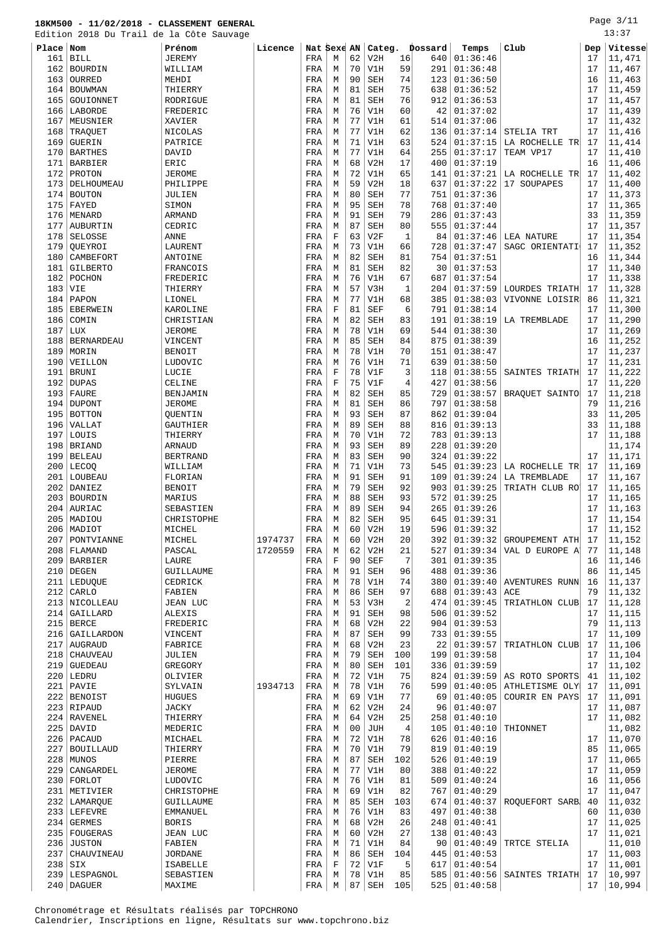#### **18KM500 - 11/02/2018 - CLASSEMENT GENERAL** Edition 2018 Du Trail de la Côte Sauvage

 SIX ISABELLE FRA F 72 V1F 5 617 01:40:54 17 11,001 239 LESPAGNOL SEBASTIEN | FRA M 78 V1H 85 585 01:40:56 SAINTES TRIATH 17 10,997 240 DAGUER MAXIME REA MERA M 87 SEH 105 525 01:40:58 17 10,994

Chronométrage et Résultats réalisés par TOPCHRONO Calendrier, Inscriptions en ligne, Résultats sur www.topchrono.biz

| ப்பட்ட⊥   |                   | zulu bu ilali uc la cole Sauvage |         |             |             |    |            |                |                |                     |                           |     |         |
|-----------|-------------------|----------------------------------|---------|-------------|-------------|----|------------|----------------|----------------|---------------------|---------------------------|-----|---------|
| Place Nom |                   | Prénom                           | Licence | Nat Sexe AN |             |    |            |                | Categ. Dossard | Temps               | Club                      | Dep | Vitesse |
| 161       | <b>BILL</b>       | <b>JEREMY</b>                    |         | FRA         | M           | 62 | V2H        | 16             | 640            | 01:36:46            |                           | 17  | 11,471  |
|           | 162 BOURDIN       | WILLIAM                          |         | FRA         | М           | 70 | V1H        | 59             | 291            | 01:36:48            |                           | 17  | 11,467  |
| 163       | OURRED            | MEHDI                            |         | FRA         | М           | 90 | <b>SEH</b> | 74             | 123            | 01:36:50            |                           | 16  | 11,463  |
| 164       | <b>BOUWMAN</b>    | THIERRY                          |         | FRA         | М           | 81 | <b>SEH</b> | 75             | 638            | 01:36:52            |                           | 17  | 11,459  |
| 165       | GOUIONNET         | RODRIGUE                         |         | FRA         | М           | 81 | <b>SEH</b> | 76             | 912            | 01:36:53            |                           | 17  | 11,457  |
| 166       | LABORDE           | FREDERIC                         |         | FRA         | М           | 76 | V1H        | 60             | 42             | 01:37:02            |                           | 17  | 11,439  |
| 167       | MEUSNIER          | XAVIER                           |         | FRA         | М           | 77 | V1H        | 61             | 514            | 01:37:06            |                           | 17  | 11,432  |
|           |                   |                                  |         |             |             | 77 | V1H        | 62             |                | 01:37:14            |                           | 17  |         |
| 168       | TRAQUET           | NICOLAS                          |         | FRA         | М           |    |            |                | 136            |                     | STELIA TRT                |     | 11,416  |
| 169       | <b>GUERIN</b>     | PATRICE                          |         | FRA         | М           | 71 | V1H        | 63             | 524            | 01:37:15            | LA ROCHELLE TR            | 17  | 11,414  |
| 170       | <b>BARTHES</b>    | DAVID                            |         | FRA         | М           | 77 | V1H        | 64             | 255            | 01:37:17            | TEAM VP17                 | 17  | 11,410  |
| 171       | <b>BARBIER</b>    | ERIC                             |         | FRA         | М           | 68 | V2H        | 17             | 400            | 01:37:19            |                           | 16  | 11,406  |
| 172       | PROTON            | <b>JEROME</b>                    |         | FRA         | М           | 72 | V1H        | 65             | 141            | 01:37:21            | LA ROCHELLE TR            | 17  | 11,402  |
| 173       | DELHOUMEAU        | PHILIPPE                         |         | FRA         | M           | 59 | V2H        | 18             | 637            | 01:37:22            | 17 SOUPAPES               | 17  | 11,400  |
| 174       | <b>BOUTON</b>     | JULIEN                           |         | FRA         | М           | 80 | <b>SEH</b> | 77             | 751            | 01:37:36            |                           | 17  | 11,373  |
| 175       | FAYED             | SIMON                            |         | FRA         | М           | 95 | <b>SEH</b> | 78             | 768            | 01:37:40            |                           | 17  | 11,365  |
| 176       | MENARD            | ARMAND                           |         | FRA         | М           | 91 | <b>SEH</b> | 79             | 286            | 01:37:43            |                           | 33  | 11,359  |
| 177       | <b>AUBURTIN</b>   | CEDRIC                           |         | FRA         | М           | 87 | <b>SEH</b> | 80             | 555            | 01:37:44            |                           | 17  | 11,357  |
| 178       | SELOSSE           | ANNE                             |         | FRA         | $\mathbf F$ | 63 | V2F        | $\mathbf{1}$   | 84             | 01:37:46            | LEA NATURE                | 17  | 11,354  |
|           |                   |                                  |         |             |             | 73 | V1H        | 66             |                | 01:37:47            |                           | 17  | 11,352  |
| 179       | OUEYROI           | LAURENT                          |         | FRA         | М           |    |            |                | 728            |                     | SAGC ORIENTATI            |     |         |
| 180       | CAMBEFORT         | <b>ANTOINE</b>                   |         | FRA         | М           | 82 | <b>SEH</b> | 81             | 754            | 01:37:51            |                           | 16  | 11,344  |
| 181       | GILBERTO          | FRANCOIS                         |         | FRA         | М           | 81 | <b>SEH</b> | 82             | 30             | 01:37:53            |                           | 17  | 11,340  |
| 182       | POCHON            | FREDERIC                         |         | FRA         | М           | 76 | V1H        | 67             | 687            | 01:37:54            |                           | 17  | 11,338  |
| 183       | VIE               | THIERRY                          |         | FRA         | М           | 57 | V3H        | $\mathbf{1}$   | 204            | 01:37:59            | LOURDES TRIATH            | 17  | 11,328  |
| 184       | PAPON             | LIONEL                           |         | FRA         | M           | 77 | V1H        | 68             | 385            | 01:38:03            | VIVONNE LOISIR            | 86  | 11,321  |
| 185       | <b>EBERWEIN</b>   | KAROLINE                         |         | FRA         | $\mathbf F$ | 81 | <b>SEF</b> | 6              | 791            | 01:38:14            |                           | 17  | 11,300  |
| 186       | COMIN             | CHRISTIAN                        |         | FRA         | М           | 82 | <b>SEH</b> | 83             | 191            | 01:38:19            | LA TREMBLADE              | 17  | 11,290  |
| 187       | <b>LUX</b>        | <b>JEROME</b>                    |         | FRA         | М           | 78 | V1H        | 69             | 544            | 01:38:30            |                           | 17  | 11,269  |
| 188       | <b>BERNARDEAU</b> | VINCENT                          |         | FRA         | М           | 85 | SEH        | 84             | 875            | 01:38:39            |                           | 16  | 11,252  |
| 189       | MORIN             | <b>BENOIT</b>                    |         | FRA         | М           | 78 | V1H        | 70             | 151            | 01:38:47            |                           | 17  | 11,237  |
| 190       | VEILLON           | LUDOVIC                          |         | FRA         | М           | 76 | V1H        | 71             | 639            | 01:38:50            |                           | 17  | 11,231  |
|           | <b>BRUNI</b>      |                                  |         |             | F           | 78 | V1F        | 3              |                |                     |                           | 17  | 11,222  |
| 191       |                   | LUCIE                            |         | FRA         |             |    |            |                | 118            | 01:38:55            | SAINTES TRIATH            |     |         |
| 192       | <b>DUPAS</b>      | CELINE                           |         | FRA         | F           | 75 | V1F        | $\overline{4}$ | 427            | 01:38:56            |                           | 17  | 11,220  |
| 193       | <b>FAURE</b>      | BENJAMIN                         |         | FRA         | М           | 82 | <b>SEH</b> | 85             | 729            | 01:38:57            | BRAQUET SAINTO            | 17  | 11,218  |
| 194       | <b>DUPONT</b>     | <b>JEROME</b>                    |         | FRA         | M           | 81 | <b>SEH</b> | 86             | 797            | 01:38:58            |                           | 79  | 11,216  |
| 195       | <b>BOTTON</b>     | QUENTIN                          |         | FRA         | М           | 93 | <b>SEH</b> | 87             | 862            | 01:39:04            |                           | 33  | 11,205  |
| 196       | VALLAT            | GAUTHIER                         |         | FRA         | М           | 89 | <b>SEH</b> | 88             | 816            | 01:39:13            |                           | 33  | 11,188  |
| 197       | LOUIS             | THIERRY                          |         | FRA         | М           | 70 | V1H        | 72             | 783            | 01:39:13            |                           | 17  | 11,188  |
| 198       | <b>BRIAND</b>     | ARNAUD                           |         | FRA         | М           | 93 | <b>SEH</b> | 89             | 228            | 01:39:20            |                           |     | 11,174  |
| 199       | <b>BELEAU</b>     | <b>BERTRAND</b>                  |         | FRA         | М           | 83 | <b>SEH</b> | 90             | 324            | 01:39:22            |                           | 17  | 11,171  |
| 200       | LECOQ             | WILLIAM                          |         | FRA         | М           | 71 | V1H        | 73             | 545            | 01:39:23            | LA ROCHELLE TR            | 17  | 11,169  |
| 201       | LOUBEAU           | FLORIAN                          |         | FRA         | М           | 91 | <b>SEH</b> | 91             | 109            | 01:39:24            | <b>LA TREMBLADE</b>       | 17  | 11,167  |
| 202       | <b>DANIEZ</b>     | <b>BENOIT</b>                    |         | FRA         | М           | 79 | <b>SEH</b> | 92             | 903            | 01:39:25            | TRIATH CLUB RO            | 17  | 11,165  |
|           | 203 BOURDIN       |                                  |         |             | М           | 88 | <b>SEH</b> | 93             | 572            | 01:39:25            |                           | 17  | 11,165  |
|           |                   | MARIUS                           |         | FRA         |             |    |            |                |                |                     |                           |     |         |
| 204       | AURIAC            | SEBASTIEN                        |         | FRA         | М           | 89 | SEH        | 94             | 265            | 01:39:26            |                           | 17  | 11,163  |
| 205       | MADIOU            | CHRISTOPHE                       |         | FRA         | М           | 82 | <b>SEH</b> | 95             | 645            | 01:39:31            |                           | 17  | 11,154  |
|           | 206 MADIOT        | MICHEL                           |         | FRA         | М           | 60 | V2H        | 19             | 596            | 01:39:32            |                           | 17  | 11,152  |
| 207       | PONTVIANNE        | MICHEL                           | 1974737 | FRA         | М           | 60 | V2H        | 20             | 392            | 01:39:32            | GROUPEMENT ATH            | 17  | 11,152  |
|           | 208   FLAMAND     | PASCAL                           | 1720559 | FRA         | М           | 62 | V2H        | 21             | 527            | 01:39:34            | VAL D EUROPE A            | 77  | 11,148  |
|           | 209 BARBIER       | LAURE                            |         | FRA         | F           | 90 | <b>SEF</b> | 7              | 301            | 01:39:35            |                           | 16  | 11,146  |
|           | $210$ DEGEN       | GUILLAUME                        |         | FRA         | М           | 91 | <b>SEH</b> | 96             | 488            | 01:39:36            |                           | 86  | 11,145  |
|           | 211 LEDUOUE       | CEDRICK                          |         | FRA         | М           | 78 | V1H        | 74             | 380            | 01:39:40            | <b>AVENTURES RUNN</b>     | 16  | 11,137  |
|           | $212$ CARLO       | FABIEN                           |         | FRA         | М           | 86 | SEH        | 97             | 688            | 01:39:43            | ACE                       | 79  | 11,132  |
|           | 213 NICOLLEAU     | JEAN LUC                         |         | FRA         | М           | 53 | V3H        | $\overline{2}$ | 474            | 01:39:45            | TRIATHLON CLUB            | 17  | 11,128  |
|           | 214   GAILLARD    | ALEXIS                           |         | FRA         | М           | 91 | <b>SEH</b> | 98             | 506            | 01:39:52            |                           | 17  | 11,115  |
|           | $215$ BERCE       | FREDERIC                         |         | FRA         | М           | 68 | V2H        | 22             | 904            | 01:39:53            |                           | 79  | 11,113  |
|           |                   |                                  |         |             |             |    |            |                |                |                     |                           |     |         |
|           | 216   GAILLARDON  | VINCENT                          |         | FRA         | М           | 87 | SEH        | 99             | 733            | 01:39:55            |                           | 17  | 11,109  |
|           | 217   AUGRAUD     | FABRICE                          |         | FRA         | М           | 68 | V2H        | 23             | 22             | 01:39:57            | TRIATHLON CLUB            | 17  | 11,106  |
|           | 218   CHAUVEAU    | JULIEN                           |         | FRA         | М           | 79 | <b>SEH</b> | 100            | 199            | 01:39:58            |                           | 17  | 11,104  |
|           | $219$ GUEDEAU     | GREGORY                          |         | FRA         | М           | 80 | <b>SEH</b> | 101            | 336            | 01:39:59            |                           | 17  | 11,102  |
|           | $220$ LEDRU       | OLIVIER                          |         | FRA         | М           | 72 | V1H        | 75             | 824            | 01:39:59            | AS ROTO SPORTS            | 41  | 11,102  |
|           | $221$ PAVIE       | SYLVAIN                          | 1934713 | FRA         | М           | 78 | V1H        | 76             | 599            |                     | $01:40:05$ ATHLETISME OLY | 17  | 11,091  |
|           | 222 BENOIST       | <b>HUGUES</b>                    |         | FRA         | М           | 69 | V1H        | 77             | 69             | 01:40:05            | COURIR EN PAYS            | 17  | 11,091  |
|           | 223 RIPAUD        | JACKY                            |         | FRA         | М           | 62 | V2H        | 24             | 96             | 01:40:07            |                           | 17  | 11,087  |
|           | 224 RAVENEL       | THIERRY                          |         | FRA         | М           | 64 | V2H        | 25             | 258            | 01:40:10            |                           | 17  | 11,082  |
|           | $225$ DAVID       | MEDERIC                          |         | FRA         | М           | 00 | JUH        | $\overline{4}$ | 105            | 01:40:10            | THIONNET                  |     | 11,082  |
|           | $226$ PACAUD      | MICHAEL                          |         | FRA         | М           | 72 | V1H        | 78             | 626            | 01:40:16            |                           | 17  | 11,070  |
| 227       | <b>BOUILLAUD</b>  |                                  |         |             | М           | 70 | V1H        | 79             | 819            | 01:40:19            |                           | 85  | 11,065  |
|           |                   | THIERRY                          |         | FRA         |             |    |            |                |                |                     |                           |     |         |
|           | 228 MUNOS         | PIERRE                           |         | FRA         | М           | 87 | SEH        | 102            | 526            | 01:40:19            |                           | 17  | 11,065  |
|           | 229   CANGARDEL   | <b>JEROME</b>                    |         | FRA         | М           | 77 | V1H        | 80             | 388            | 01:40:22            |                           | 17  | 11,059  |
|           | $230$ FORLOT      | LUDOVIC                          |         | FRA         | М           | 76 | V1H        | 81             | 509            | 01:40:24            |                           | 16  | 11,056  |
|           | 231 METIVIER      | CHRISTOPHE                       |         | FRA         | M           | 69 | V1H        | 82             | 767            | 01:40:29            |                           | 17  | 11,047  |
|           | 232 LAMARQUE      | GUILLAUME                        |         | FRA         | М           | 85 | <b>SEH</b> | 103            | 674            |                     | $01:40:37$ ROQUEFORT SARB | 40  | 11,032  |
|           | 233 LEFEVRE       | EMMANUEL                         |         | FRA         | М           | 76 | V1H        | 83             | 497            | 01:40:38            |                           | 60  | 11,030  |
|           | $234$ GERMES      | <b>BORIS</b>                     |         | FRA         | М           | 68 | V2H        | 26             | 248            | 01:40:41            |                           | 17  | 11,025  |
|           | 235 FOUGERAS      | JEAN LUC                         |         | FRA         | М           | 60 | V2H        | 27             | 138            | 01:40:43            |                           | 17  | 11,021  |
|           | 236 JUSTON        | FABIEN                           |         | FRA         | М           | 71 | V1H        | 84             | 90             | 01:40:49            | TRTCE STELIA              |     | 11,010  |
|           | 237 CHAUVINEAU    | <b>JORDANE</b>                   |         | FRA         | М           | 86 | SEH        | 104            |                | $445 \mid 01:40:53$ |                           | 17  | 11,003  |

Page 3/11

 $13:37$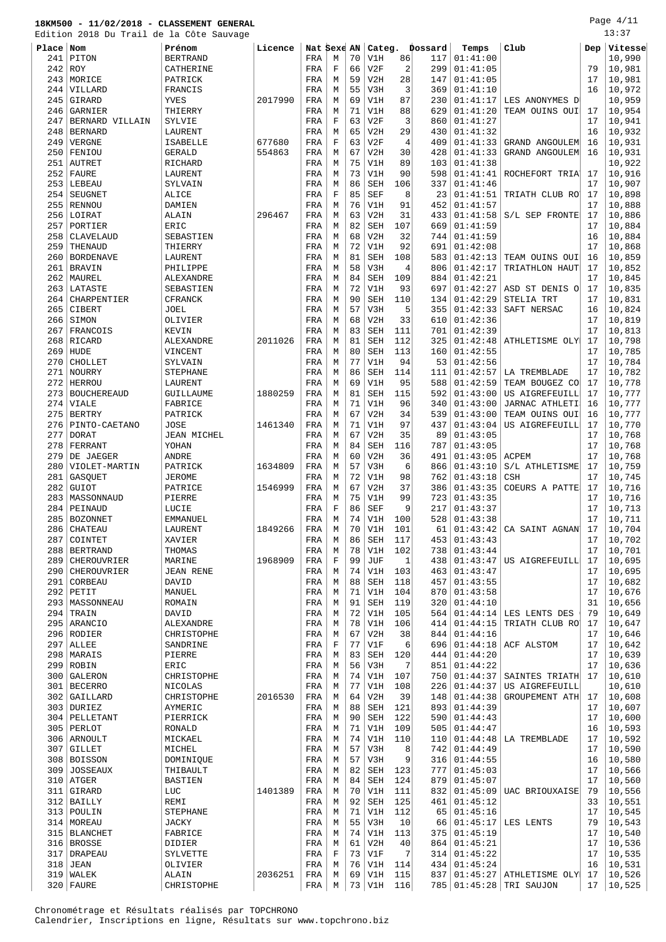Edition 2018 Du Trail de la Côte Sauvage

Page 4/11 13:37

| ru⊥u      |                    | zulo Du Irali de la Cote Sauvage |         |             |             |    |            |                |         |          |                             |     |         |
|-----------|--------------------|----------------------------------|---------|-------------|-------------|----|------------|----------------|---------|----------|-----------------------------|-----|---------|
| Place Nom |                    | Prénom                           | Licence | Nat Sexe AN |             |    | Categ.     |                | Dossard | Temps    | Club                        | Dep | Vitesse |
| 241       | PITON              | <b>BERTRAND</b>                  |         | FRA         | M           | 70 | V1H        | 86             | 117     | 01:41:00 |                             |     | 10,990  |
|           |                    |                                  |         |             |             |    |            |                |         |          |                             |     |         |
|           | $242$ ROY          | CATHERINE                        |         | FRA         | F           | 66 | V2F        | $\overline{c}$ | 299     | 01:41:05 |                             | 79  | 10,981  |
|           | 243 MORICE         | PATRICK                          |         | FRA         | М           | 59 | V2H        | 28             | 147     | 01:41:05 |                             | 17  | 10,981  |
| 244       | VILLARD            | FRANCIS                          |         | FRA         | М           | 55 | V3H        | 3              | 369     | 01:41:10 |                             | 16  | 10,972  |
| 245       | GIRARD             | <b>YVES</b>                      | 2017990 | FRA         | M           | 69 | V1H        | 87             | 230     | 01:41:17 | LES ANONYMES D'             |     | 10,959  |
| 246       | GARNIER            | THIERRY                          |         |             | M           | 71 | V1H        | 88             | 629     | 01:41:20 | TEAM OUINS OUI              | 17  | 10,954  |
|           |                    |                                  |         | FRA         |             |    |            |                |         |          |                             |     |         |
| 247       | BERNARD VILLAIN    | SYLVIE                           |         | FRA         | $\mathbf F$ | 63 | V2F        | 3              | 860     | 01:41:27 |                             | 17  | 10,941  |
| 248       | <b>BERNARD</b>     | LAURENT                          |         | FRA         | М           | 65 | V2H        | 29             | 430     | 01:41:32 |                             | 16  | 10,932  |
| 249       | VERGNE             | <b>ISABELLE</b>                  | 677680  | FRA         | $\mathbf F$ | 63 | V2F        | $\overline{4}$ | 409     | 01:41:33 | <b>GRAND ANGOULEM</b>       | 16  | 10,931  |
| 250       | FENIOU             | <b>GERALD</b>                    | 554863  | FRA         | M           | 67 | V2H        | 30             | 428     | 01:41:33 | GRAND ANGOULEM              | 16  | 10,931  |
|           |                    |                                  |         |             |             |    |            |                |         |          |                             |     |         |
| 251       | <b>AUTRET</b>      | RICHARD                          |         | FRA         | M           | 75 | V1H        | 89             | 103     | 01:41:38 |                             |     | 10,922  |
|           | $252$ FAURE        | LAURENT                          |         | FRA         | М           | 73 | V1H        | 90             | 598     | 01:41:41 | ROCHEFORT TRIA              | 17  | 10,916  |
|           | 253   LEBEAU       | SYLVAIN                          |         | FRA         | М           | 86 | <b>SEH</b> | 106            | 337     | 01:41:46 |                             | 17  | 10,907  |
|           |                    |                                  |         |             | $\mathbf F$ | 85 | <b>SEF</b> | 8              | 23      |          |                             |     |         |
| 254       | SEUGNET            | ALICE                            |         | FRA         |             |    |            |                |         | 01:41:51 | TRIATH CLUB RO              | 17  | 10,898  |
| 255       | RENNOU             | DAMIEN                           |         | FRA         | М           | 76 | V1H        | 91             | 452     | 01:41:57 |                             | 17  | 10,888  |
|           | 256 LOIRAT         | ALAIN                            | 296467  | FRA         | M           | 63 | V2H        | 31             | 433     | 01:41:58 | S/L SEP FRONTE              | 17  | 10,886  |
| 257       | PORTIER            | ERIC                             |         | FRA         | М           | 82 | <b>SEH</b> | 107            | 669     | 01:41:59 |                             | 17  | 10,884  |
|           |                    |                                  |         |             | M           | 68 | V2H        | 32             | 744     | 01:41:59 |                             | 16  | 10,884  |
| 258       | CLAVELAUD          | SEBASTIEN                        |         | FRA         |             |    |            |                |         |          |                             |     |         |
| 259       | THENAUD            | THIERRY                          |         | FRA         | M           | 72 | V1H        | 92             | 691     | 01:42:08 |                             | 17  | 10,868  |
| 260       | <b>BORDENAVE</b>   | LAURENT                          |         | FRA         | M           | 81 | <b>SEH</b> | 108            | 583     | 01:42:13 | TEAM OUINS OUI              | 16  | 10,859  |
| 261       | <b>BRAVIN</b>      | PHILIPPE                         |         | FRA         | M           | 58 | V3H        | 4              | 806     | 01:42:17 | TRIATHLON HAUT              | 17  | 10,852  |
|           |                    |                                  |         |             |             |    |            |                |         |          |                             | 17  |         |
| 262       | MAUREL             | ALEXANDRE                        |         | FRA         | М           | 84 | <b>SEH</b> | 109            | 884     | 01:42:21 |                             |     | 10,845  |
| 263       | LATASTE            | SEBASTIEN                        |         | FRA         | M           | 72 | V1H        | 93             | 697     | 01:42:27 | ASD ST DENIS O              | 17  | 10,835  |
| 264       | <b>CHARPENTIER</b> | CFRANCK                          |         | FRA         | M           | 90 | <b>SEH</b> | 110            | 134     | 01:42:29 | STELIA TRT                  | 17  | 10,831  |
| 265       | CIBERT             | JOEL                             |         | FRA         | M           | 57 | V3H        | 5              | 355     | 01:42:33 | SAFT NERSAC                 | 16  | 10,824  |
|           |                    |                                  |         |             |             |    |            |                |         |          |                             |     |         |
| 266       | SIMON              | OLIVIER                          |         | FRA         | М           | 68 | V2H        | 33             | 610     | 01:42:36 |                             | 17  | 10,819  |
| 267       | FRANCOIS           | KEVIN                            |         | FRA         | M           | 83 | <b>SEH</b> | 111            | 701     | 01:42:39 |                             | 17  | 10,813  |
|           | 268 RICARD         | ALEXANDRE                        | 2011026 | FRA         | M           | 81 | <b>SEH</b> | 112            | 325     | 01:42:48 | ATHLETISME OLY              | 17  | 10,798  |
| 269       | HUDE               | VINCENT                          |         | FRA         | M           | 80 | <b>SEH</b> | 113            | 160     | 01:42:55 |                             | 17  | 10,785  |
|           |                    |                                  |         |             |             | 77 |            |                |         |          |                             |     | 10,784  |
| 270       | CHOLLET            | SYLVAIN                          |         | FRA         | M           |    | V1H        | 94             | 53      | 01:42:56 |                             | 17  |         |
| 271       | NOURRY             | <b>STEPHANE</b>                  |         | FRA         | М           | 86 | <b>SEH</b> | 114            | 111     | 01:42:57 | LA TREMBLADE                | 17  | 10,782  |
|           | 272 HERROU         | LAURENT                          |         | FRA         | M           | 69 | V1H        | 95             | 588     | 01:42:59 | TEAM BOUGEZ CO              | 17  | 10,778  |
| 273       | <b>BOUCHEREAUD</b> | GUILLAUME                        | 1880259 | FRA         | М           | 81 | <b>SEH</b> | 115            | 592     | 01:43:00 | US AIGREFEUILL              | 17  | 10,777  |
|           |                    |                                  |         |             |             |    |            |                |         |          |                             |     |         |
| 274       | VIALE              | FABRICE                          |         | FRA         | M           | 71 | V1H        | 96             | 340     | 01:43:00 | JARNAC ATHLETI              | 16  | 10,777  |
| 275       | <b>BERTRY</b>      | PATRICK                          |         | FRA         | М           | 67 | V2H        | 34             | 539     | 01:43:00 | TEAM OUINS OUI              | 16  | 10,777  |
| 276       | PINTO-CAETANO      | <b>JOSE</b>                      | 1461340 | FRA         | M           | 71 | V1H        | 97             | 437     | 01:43:04 | US AIGREFEUILL              | 17  | 10,770  |
| 277       | <b>DORAT</b>       | <b>JEAN MICHEL</b>               |         | FRA         | M           | 67 | V2H        | 35             | 89      | 01:43:05 |                             | 17  | 10,768  |
|           |                    |                                  |         |             |             |    |            |                |         |          |                             | 17  |         |
| 278       | FERRANT            | YOHAN                            |         | FRA         | М           | 84 | <b>SEH</b> | 116            | 787     | 01:43:05 |                             |     | 10,768  |
| 279       | DE JAEGER          | ANDRE                            |         | FRA         | М           | 60 | V2H        | 36             | 491     | 01:43:05 | ACPEM                       | 17  | 10,768  |
| 280       | VIOLET-MARTIN      | PATRICK                          | 1634809 | FRA         | М           | 57 | V3H        | 6              | 866     | 01:43:10 | S/L ATHLETISME              | 17  | 10,759  |
| 281       | GASQUET            | <b>JEROME</b>                    |         | FRA         | M           | 72 | V1H        | 98             | 762     | 01:43:18 | <b>CSH</b>                  | 17  | 10,745  |
|           |                    | PATRICE                          |         |             |             | 67 |            |                |         |          | COEURS A PATTE              |     |         |
| 282       | <b>GUIOT</b>       |                                  | 1546999 | FRA         | M           |    | V2H        | 37             | 386     | 01:43:35 |                             | 17  | 10,716  |
| 283       | MASSONNAUD         | PIERRE                           |         | FRA         | М           | 75 | V1H        | 99             | 723     | 01:43:35 |                             | 17  | 10,716  |
| 284       | PEINAUD            | LUCIE                            |         | FRA         | $\mathbf F$ | 86 | <b>SEF</b> | 9              | 217     | 01:43:37 |                             | 17  | 10,713  |
| 285       | <b>BOZONNET</b>    | EMMANUEL                         |         | FRA         | M           | 74 | V1H        | 100            | 528     | 01:43:38 |                             | 17  | 10,711  |
|           |                    |                                  | 1849266 |             | M           | 70 |            | 101            | 61      |          |                             | 17  |         |
|           | 286 CHATEAU        | LAURENT                          |         | FRA         |             |    | V1H        |                |         | 01:43:42 | CA SAINT AGNAN              |     | 10,704  |
| 287       | COINTET            | XAVIER                           |         | FRA         | М           | 86 | SEH        | 117            | 453     | 01:43:43 |                             | 17  | 10,702  |
|           | 288   BERTRAND     | THOMAS                           |         | FRA         | М           | 78 | V1H        | 102            | 738     | 01:43:44 |                             | 17  | 10,701  |
| 289       | CHEROUVRIER        | MARINE                           | 1968909 | FRA         | $\mathbf F$ | 99 | JUF        | $\mathbf{1}$   | 438     | 01:43:47 | US AIGREFEUILL              | 17  | 10,695  |
|           | 290 CHEROUVRIER    | <b>JEAN RENE</b>                 |         | FRA         | M           | 74 | V1H        | 103            | 463     | 01:43:47 |                             | 17  | 10,695  |
|           |                    |                                  |         |             |             |    |            |                |         |          |                             |     |         |
|           | 291 CORBEAU        | DAVID                            |         | FRA         | М           | 88 | SEH        | 118            | 457     | 01:43:55 |                             | 17  | 10,682  |
|           | $292$ PETIT        | MANUEL                           |         | FRA         | М           | 71 | V1H        | 104            | 870     | 01:43:58 |                             | 17  | 10,676  |
|           | 293   MASSONNEAU   | ROMAIN                           |         | FRA         | M           | 91 | <b>SEH</b> | 119            | 320     | 01:44:10 |                             | 31  | 10,656  |
|           | 294 TRAIN          | DAVID                            |         | FRA         | M           | 72 | V1H        | 105            | 564     | 01:44:14 | LES LENTS DES               | 79  | 10,649  |
|           |                    |                                  |         |             |             |    |            |                |         |          |                             |     |         |
|           | 295   ARANCIO      | ALEXANDRE                        |         | FRA         | M           | 78 | V1H        | 106            | 414     | 01:44:15 | TRIATH CLUB RO              | 17  | 10,647  |
|           | 296 RODIER         | CHRISTOPHE                       |         | FRA         | М           | 67 | V2H        | 38             | 844     | 01:44:16 |                             | 17  | 10,646  |
|           | $297$ ALLEE        | SANDRINE                         |         | FRA         | $\mathbf F$ | 77 | V1F        | 6              | 696     | 01:44:18 | ACF ALSTOM                  | 17  | 10,642  |
|           | 298   MARAIS       | PIERRE                           |         | FRA         | M           | 83 | SEH        | 120            | 444     | 01:44:20 |                             | 17  | 10,639  |
|           |                    |                                  |         |             |             |    |            | 7              |         |          |                             |     |         |
|           | 299 ROBIN          | ERIC                             |         | FRA         | M           | 56 | V3H        |                | 851     | 01:44:22 |                             | 17  | 10,636  |
|           | 300 GALERON        | CHRISTOPHE                       |         | FRA         | М           | 74 | V1H        | 107            | 750     | 01:44:37 | SAINTES TRIATH              | 17  | 10,610  |
|           | 301 BECERRO        | NICOLAS                          |         | FRA         | M           | 77 | V1H        | 108            | 226     | 01:44:37 | US AIGREFEUILL              |     | 10,610  |
|           | 302 GAILLARD       | CHRISTOPHE                       | 2016530 | FRA         | М           | 64 | V2H        | 39             | 148     | 01:44:38 | GROUPEMENT ATH              | 17  | 10,608  |
|           |                    |                                  |         |             | М           | 88 |            | 121            | 893     |          |                             | 17  |         |
|           | 303 DURIEZ         | AYMERIC                          |         | FRA         |             |    | SEH        |                |         | 01:44:39 |                             |     | 10,607  |
|           | 304   PELLETANT    | PIERRICK                         |         | FRA         | М           | 90 | <b>SEH</b> | 122            | 590     | 01:44:43 |                             | 17  | 10,600  |
|           | 305 PERLOT         | RONALD                           |         | FRA         | М           | 71 | V1H        | 109            | 505     | 01:44:47 |                             | 16  | 10,593  |
|           | 306   ARNOULT      | MICKAEL                          |         | FRA         | M           | 74 | V1H        | 110            | 110     | 01:44:48 | LA TREMBLADE                | 17  | 10,592  |
|           |                    |                                  |         |             |             |    |            |                |         |          |                             |     |         |
|           | 307 GILLET         | MICHEL                           |         | FRA         | М           | 57 | V3H        | 8              | 742     | 01:44:49 |                             | 17  | 10,590  |
|           | 308 BOISSON        | DOMINIQUE                        |         | FRA         | М           | 57 | V3H        | 9              | 316     | 01:44:55 |                             | 16  | 10,580  |
|           | 309 JOSSEAUX       | THIBAULT                         |         | FRA         | М           | 82 | SEH        | 123            | 777     | 01:45:03 |                             | 17  | 10,566  |
|           | $310$ ATGER        | <b>BASTIEN</b>                   |         | FRA         | M           | 84 | <b>SEH</b> | 124            | 879     | 01:45:07 |                             | 17  | 10,560  |
|           |                    |                                  |         |             |             |    |            |                |         |          |                             |     |         |
|           | 311 GIRARD         | LUC                              | 1401389 | FRA         | M           | 70 | V1H        | 111            | 832     | 01:45:09 | UAC BRIOUXAISE              | 79  | 10,556  |
|           | 312 BAILLY         | REMI                             |         | FRA         | М           | 92 | <b>SEH</b> | 125            | 461     | 01:45:12 |                             | 33  | 10,551  |
|           | 313   POULIN       | <b>STEPHANE</b>                  |         | FRA         | М           | 71 | V1H        | 112            | 65      | 01:45:16 |                             | 17  | 10,545  |
|           | 314   MOREAU       | <b>JACKY</b>                     |         | FRA         | М           | 55 | V3H        | 10             | 66      | 01:45:17 | LES LENTS                   | 79  | 10,543  |
|           | 315   BLANCHET     | FABRICE                          |         | FRA         | M           | 74 | V1H        | 113            | 375     | 01:45:19 |                             | 17  | 10,540  |
|           |                    |                                  |         |             |             |    |            |                |         |          |                             |     |         |
|           | 316 BROSSE         | DIDIER                           |         | FRA         | М           | 61 | V2H        | 40             | 864     | 01:45:21 |                             | 17  | 10,536  |
|           | 317   DRAPEAU      | SYLVETTE                         |         | FRA         | $\mathbf F$ | 73 | V1F        | 7              | 314     | 01:45:22 |                             | 17  | 10,535  |
|           | 318 JEAN           | OLIVIER                          |         | FRA         | M           | 76 | V1H        | 114            | 434     | 01:45:24 |                             | 16  | 10,531  |
|           |                    |                                  |         |             | М           | 69 |            |                | 837     | 01:45:27 |                             | 17  | 10,526  |
|           | 319   WALEK        | ALAIN                            | 2036251 | FRA         |             |    | V1H        | 115            |         |          | ATHLETISME OLY              |     |         |
|           | $320$ FAURE        | CHRISTOPHE                       |         | FRA         | М           | 73 | V1H        | 116            |         |          | 785   01:45:28   TRI SAUJON | 17  | 10,525  |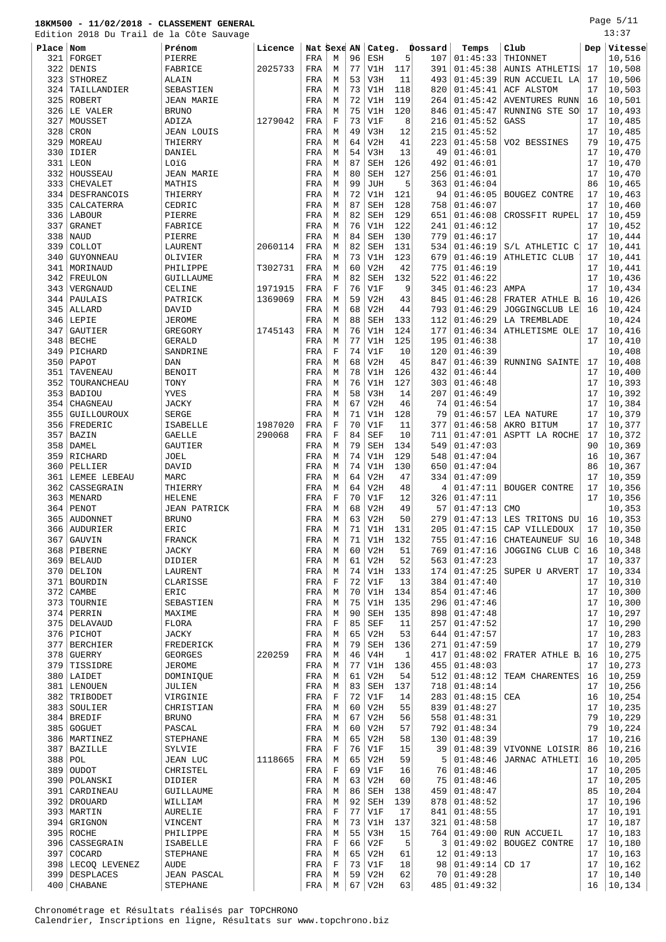#### **18KM500 - 11/02/2018 - CLASSEMENT GENERAL** Edition 2018 Du Trail de la Côte Sauvage

| 322       | DENIS              | FABRICE             | 2025733 | FRA | М           | 77 | V1H        | 117 | 391 | 01:45:38         | <b>AUNIS ATHLETIS</b> | 17 | 10,508 |
|-----------|--------------------|---------------------|---------|-----|-------------|----|------------|-----|-----|------------------|-----------------------|----|--------|
| 323       | STHOREZ            | ALAIN               |         | FRA | М           | 53 | V3H        | 11  | 493 | 01:45:39         | RUN ACCUEIL LA        | 17 | 10,506 |
|           |                    |                     |         |     |             |    |            |     |     |                  |                       |    |        |
| 324       | TAILLANDIER        | SEBASTIEN           |         | FRA | М           | 73 | V1H        | 118 | 820 | 01:45:41         | ACF ALSTOM            | 17 | 10,503 |
| 325       | <b>ROBERT</b>      | <b>JEAN MARIE</b>   |         | FRA | М           | 72 | V1H        | 119 | 264 | 01:45:42         | AVENTURES RUNN        | 16 | 10,501 |
|           | 326 LE VALER       | <b>BRUNO</b>        |         | FRA | М           | 75 | V1H        | 120 | 846 | 01:45:47         | RUNNING STE SO        | 17 | 10,493 |
|           |                    |                     |         |     |             |    |            |     |     |                  |                       |    |        |
| 327       | MOUSSET            | ADIZA               | 1279042 | FRA | F           | 73 | V1F        | 8   | 216 | 01:45:52         | GASS                  | 17 | 10,485 |
| 328       | CRON               | <b>JEAN LOUIS</b>   |         | FRA | М           | 49 | V3H        | 12  | 215 | 01:45:52         |                       | 17 | 10,485 |
| 329       | MOREAU             | THIERRY             |         | FRA | М           | 64 | V2H        | 41  | 223 | 01:45:58         | VO2 BESSINES          | 79 | 10,475 |
| 330       | IDIER              |                     |         |     | M           | 54 | V3H        | 13  | 49  | 01:46:01         |                       | 17 | 10,470 |
|           |                    | DANIEL              |         | FRA |             |    |            |     |     |                  |                       |    |        |
| 331       | LEON               | LOïG                |         | FRA | М           | 87 | <b>SEH</b> | 126 | 492 | 01:46:01         |                       | 17 | 10,470 |
| 332       | HOUSSEAU           | <b>JEAN MARIE</b>   |         | FRA | М           | 80 | <b>SEH</b> | 127 | 256 | 01:46:01         |                       | 17 | 10,470 |
| 333       | CHEVALET           | MATHIS              |         | FRA | М           | 99 | <b>JUH</b> | 5   | 363 | 01:46:04         |                       | 86 | 10,465 |
|           |                    |                     |         |     |             |    |            |     |     |                  |                       |    |        |
| 334       | <b>DESFRANCOIS</b> | THIERRY             |         | FRA | М           | 72 | V1H        | 121 | 94  | 01:46:05         | BOUGEZ CONTRE         | 17 | 10,463 |
| 335       | CALCATERRA         | CEDRIC              |         | FRA | М           | 87 | <b>SEH</b> | 128 | 758 | 01:46:07         |                       | 17 | 10,460 |
| 336       | LABOUR             | PIERRE              |         | FRA | М           | 82 | <b>SEH</b> | 129 | 651 | 01:46:08         | CROSSFIT RUPEL        | 17 | 10,459 |
|           |                    |                     |         |     |             |    |            |     |     |                  |                       |    |        |
| 337       | <b>GRANET</b>      | FABRICE             |         | FRA | M           | 76 | V1H        | 122 | 241 | 01:46:12         |                       | 17 | 10,452 |
| 338       | NAUD               | PIERRE              |         | FRA | М           | 84 | <b>SEH</b> | 130 | 779 | 01:46:17         |                       | 17 | 10,444 |
| 339       | COLLOT             | LAURENT             | 2060114 | FRA | М           | 82 | <b>SEH</b> | 131 | 534 | 01:46:19         | S/L ATHLETIC C        | 17 | 10,441 |
|           |                    |                     |         |     |             |    |            |     |     |                  |                       |    |        |
| 340       | GUYONNEAU          | OLIVIER             |         | FRA | М           | 73 | V1H        | 123 | 679 | 01:46:19         | ATHLETIC CLUB         | 17 | 10,441 |
| 341       | MORINAUD           | PHILIPPE            | T302731 | FRA | М           | 60 | V2H        | 42  | 775 | 01:46:19         |                       | 17 | 10,441 |
| 342       | FREULON            | GUILLAUME           |         | FRA | М           | 82 | <b>SEH</b> | 132 | 522 | 01:46:22         |                       | 17 | 10,436 |
|           |                    |                     |         |     |             |    |            |     |     |                  |                       |    |        |
| 343       | VERGNAUD           | CELINE              | 1971915 | FRA | F           | 76 | V1F        | 9   | 345 | 01:46:23         | AMPA                  | 17 | 10,434 |
| 344       | PAULAIS            | PATRICK             | 1369069 | FRA | М           | 59 | V2H        | 43  | 845 | 01:46:28         | FRATER ATHLE B        | 16 | 10,426 |
| 345       | ALLARD             | DAVID               |         | FRA | М           | 68 | V2H        | 44  | 793 | 01:46:29         | JOGGINGCLUB LE        | 16 | 10,424 |
|           |                    |                     |         |     |             |    |            |     |     |                  |                       |    |        |
| 346       | LEPIE              | JEROME              |         | FRA | M           | 88 | <b>SEH</b> | 133 | 112 | 01:46:29         | LA TREMBLADE          |    | 10,424 |
| 347       | GAUTIER            | GREGORY             | 1745143 | FRA | М           | 76 | V1H        | 124 | 177 | 01:46:34         | ATHLETISME OLE        | 17 | 10,416 |
| 348       | <b>BECHE</b>       | <b>GERALD</b>       |         | FRA | М           | 77 | V1H        | 125 | 195 | 01:46:38         |                       | 17 | 10,410 |
|           |                    |                     |         |     |             |    |            |     |     |                  |                       |    |        |
| 349       | PICHARD            | SANDRINE            |         | FRA | F           | 74 | V1F        | 10  | 120 | 01:46:39         |                       |    | 10,408 |
| 350       | PAPOT              | DAN                 |         | FRA | М           | 68 | V2H        | 45  | 847 | 01:46:39         | RUNNING SAINTE        | 17 | 10,408 |
| 351       | TAVENEAU           | <b>BENOIT</b>       |         | FRA | М           | 78 | V1H        | 126 | 432 | 01:46:44         |                       | 17 | 10,400 |
| 352       | TOURANCHEAU        |                     |         |     | М           | 76 | V1H        | 127 | 303 | 01:46:48         |                       | 17 | 10,393 |
|           |                    | TONY                |         | FRA |             |    |            |     |     |                  |                       |    |        |
| 353       | <b>BADIOU</b>      | YVES                |         | FRA | М           | 58 | V3H        | 14  | 207 | 01:46:49         |                       | 17 | 10,392 |
| 354       | CHAGNEAU           | <b>JACKY</b>        |         | FRA | М           | 67 | V2H        | 46  | 74  | 01:46:54         |                       | 17 | 10,384 |
| 355       | GUILLOUROUX        | <b>SERGE</b>        |         | FRA | M           | 71 | V1H        | 128 | 79  | 01:46:57         | LEA NATURE            | 17 | 10,379 |
|           |                    |                     |         |     |             |    |            |     |     |                  |                       |    |        |
| 356       | FREDERIC           | ISABELLE            | 1987020 | FRA | F           | 70 | V1F        | 11  | 377 | 01:46:58         | AKRO BITUM            | 17 | 10,377 |
| 357       | BAZIN              | <b>GAELLE</b>       | 290068  | FRA | F           | 84 | <b>SEF</b> | 10  | 711 | 01:47:01         | ASPTT LA ROCHE        | 17 | 10,372 |
| 358       | DAMEL              | GAUTIER             |         | FRA | М           | 79 | <b>SEH</b> | 134 | 549 | 01:47:03         |                       | 90 | 10,369 |
|           |                    |                     |         |     |             |    |            |     |     |                  |                       |    |        |
| 359       | RICHARD            | JOEL                |         | FRA | М           | 74 | V1H        | 129 | 548 | 01:47:04         |                       | 16 | 10,367 |
| 360       | PELLIER            | DAVID               |         | FRA | М           | 74 | V1H        | 130 | 650 | 01:47:04         |                       | 86 | 10,367 |
|           |                    |                     |         |     |             |    |            |     |     |                  |                       |    |        |
|           |                    |                     |         |     |             |    |            |     |     |                  |                       |    |        |
| 361       | LEMEE LEBEAU       | MARC                |         | FRA | М           | 64 | V2H        | 47  | 334 | 01:47:09         |                       | 17 | 10,359 |
| 362       | CASSEGRAIN         | THIERRY             |         | FRA | M           | 64 | V2H        | 48  | 4   | 01:47:11         | BOUGER CONTRE         | 17 | 10,356 |
| 363       | MENARD             | <b>HELENE</b>       |         | FRA | F           | 70 | V1F        | 12  | 326 | 01:47:11         |                       | 17 | 10,356 |
|           |                    |                     |         |     |             |    |            |     |     |                  |                       |    |        |
| 364       | PENOT              | <b>JEAN PATRICK</b> |         | FRA | М           | 68 | V2H        | 49  | 57  | 01:47:13         | <b>CMO</b>            |    | 10,353 |
| 365       | <b>AUDONNET</b>    | <b>BRUNO</b>        |         | FRA | М           | 63 | V2H        | 50  | 279 | 01:47:13         | LES TRITONS DU        | 16 | 10,353 |
| 366       | AUDURIER           | ERIC                |         | FRA | М           | 71 | V1H        | 131 | 205 | 01:47:15         | CAP VILLEDOUX         | 17 | 10,350 |
|           |                    |                     |         |     |             |    |            |     |     |                  |                       |    |        |
| 367       | GAUVIN             | FRANCK              |         | FRA | М           | 71 | V1H        | 132 | 755 | 01:47:16         | <b>CHATEAUNEUF SU</b> | 16 | 10,348 |
| 368       | PIBERNE            | JACKY               |         | FRA | М           | 60 | V2H        | 51  | 769 | 01:47:16         | JOGGING CLUB C        | 16 | 10,348 |
|           | 369 BELAUD         | DIDIER              |         | FRA | М           | 61 | V2H        | 52  |     | 563   01:47:23   |                       | 17 | 10,337 |
|           |                    |                     |         |     |             |    |            |     |     |                  |                       |    |        |
|           | 370 DELION         | LAURENT             |         | FRA | M           | 74 | V1H        | 133 | 174 | 01:47:25         | SUPER U ARVERT        | 17 | 10,334 |
|           | 371 BOURDIN        | CLARISSE            |         | FRA | $\mathbf F$ | 72 | V1F        | 13  | 384 | 01:47:40         |                       | 17 | 10,310 |
| 372       | CAMBE              | ERIC                |         | FRA | M           | 70 | V1H        | 134 | 854 | 01:47:46         |                       | 17 | 10,300 |
|           | 373   TOURNIE      | SEBASTIEN           |         | FRA | М           | 75 | V1H        | 135 | 296 | 01:47:46         |                       | 17 | 10,300 |
|           |                    |                     |         |     |             |    |            |     |     |                  |                       |    |        |
|           | 374 PERRIN         | MAXIME              |         | FRA | М           | 90 | <b>SEH</b> | 135 | 898 | 01:47:48         |                       | 17 | 10,297 |
|           | 375   DELAVAUD     | FLORA               |         | FRA | F           | 85 | SEF        | 11  | 257 | 01:47:52         |                       | 17 | 10,290 |
|           | 376 PICHOT         | JACKY               |         | FRA | М           | 65 | V2H        | 53  | 644 | 01:47:57         |                       | 17 | 10,283 |
|           |                    |                     |         |     |             |    |            |     |     |                  |                       |    |        |
|           | 377   BERCHIER     | FREDERICK           |         | FRA | М           | 79 | SEH        | 136 | 271 | 01:47:59         |                       | 17 | 10,279 |
|           | $378$ GUERRY       | <b>GEORGES</b>      | 220259  | FRA | М           | 46 | V4H        | 1   | 417 | 01:48:02         | FRATER ATHLE B        | 16 | 10,275 |
| 379       | TISSIDRE           | <b>JEROME</b>       |         | FRA | M           | 77 | V1H        | 136 | 455 | 01:48:03         |                       | 17 | 10,273 |
|           |                    |                     |         |     |             |    |            |     |     |                  |                       |    |        |
|           | 380   LAIDET       | DOMINIQUE           |         | FRA | М           | 61 | V2H        | 54  | 512 | 01:48:12         | TEAM CHARENTES        | 16 | 10,259 |
|           | 381 LENOUEN        | JULIEN              |         | FRA | М           | 83 | <b>SEH</b> | 137 | 718 | 01:48:14         |                       | 17 | 10,256 |
|           | 382 TRIBODET       | VIRGINIE            |         | FRA | F           | 72 | V1F        | 14  | 283 | 01:48:15         | CEA                   | 16 | 10,254 |
|           |                    |                     |         |     |             |    |            |     |     |                  |                       |    |        |
|           | 383 SOULIER        | CHRISTIAN           |         | FRA | М           | 60 | V2H        | 55  | 839 | 01:48:27         |                       | 17 | 10,235 |
|           | 384 BREDIF         | <b>BRUNO</b>        |         | FRA | М           | 67 | V2H        | 56  | 558 | 01:48:31         |                       | 79 | 10,229 |
|           | 385 GOGUET         | PASCAL              |         | FRA | М           | 60 | V2H        | 57  | 792 | 01:48:34         |                       | 79 | 10,224 |
|           |                    |                     |         |     |             |    |            |     |     |                  |                       | 17 |        |
|           | 386   MARTINEZ     | STEPHANE            |         | FRA | М           | 65 | V2H        | 58  | 130 | 01:48:39         |                       |    | 10,216 |
|           | 387 BAZILLE        | SYLVIE              |         | FRA | F           | 76 | V1F        | 15  | 39  | 01:48:39         | VIVONNE LOISIR        | 86 | 10,216 |
| $388$ POL |                    | JEAN LUC            | 1118665 | FRA | М           | 65 | V2H        | 59  | 5   | 01:48:46         | JARNAC ATHLETI        | 16 | 10,205 |
|           |                    |                     |         |     | $\mathbf F$ | 69 | V1F        | 16  | 76  |                  |                       | 17 |        |
|           | 389 OUDOT          | CHRISTEL            |         | FRA |             |    |            |     |     | 01:48:46         |                       |    | 10,205 |
| 390       | POLANSKI           | DIDIER              |         | FRA | М           | 63 | V2H        | 60  | 75  | 01:48:46         |                       | 17 | 10,205 |
| 391       | CARDINEAU          | GUILLAUME           |         | FRA | М           | 86 | <b>SEH</b> | 138 | 459 | 01:48:47         |                       | 85 | 10,204 |
|           | 392 DROUARD        | WILLIAM             |         | FRA | М           | 92 | SEH        | 139 | 878 | 01:48:52         |                       | 17 | 10,196 |
|           |                    |                     |         |     |             |    |            |     |     |                  |                       |    |        |
|           | 393   MARTIN       | AURELIE             |         | FRA | F           | 77 | V1F        | 17  | 841 | 01:48:55         |                       | 17 | 10,191 |
|           | 394 GRIGNON        | VINCENT             |         | FRA | М           | 73 | V1H        | 137 | 321 | 01:48:58         |                       | 17 | 10,187 |
|           | 395 ROCHE          | PHILIPPE            |         | FRA | М           | 55 | V3H        | 15  | 764 | 01:49:00         | RUN ACCUEIL           | 17 | 10,183 |
|           |                    |                     |         |     |             |    |            |     |     |                  |                       |    |        |
|           | 396   CASSEGRAIN   | ISABELLE            |         | FRA | $\mathbf F$ | 66 | V2F        | 5   | 3   | 01:49:02         | BOUGEZ CONTRE         | 17 | 10,180 |
| 397       | COCARD             | STEPHANE            |         | FRA | M           | 65 | V2H        | 61  | 12  | 01:49:13         |                       | 17 | 10,163 |
|           | 398 LECOQ LEVENEZ  | AUDE                |         | FRA | F           | 73 | V1F        | 18  | 98  | $01:49:14$ CD 17 |                       | 17 | 10,162 |
|           | 399   DESPLACES    | JEAN PASCAL         |         | FRA | M           |    | $59$ V2H   | 62  |     | 70   01:49:28    |                       | 17 | 10,140 |

400 CHABANE STEPHANE | FRA M 67 V2H 63 485 01:49:32 | 16 10,134

**Place Nom Prénom Licence Nat Sexe AN Categ. Dossard Temps Club Dep Vitesse** 321 FORGET PIERRE FRA M 96 ESH 5 107 01:45:33 THIONNET 10,516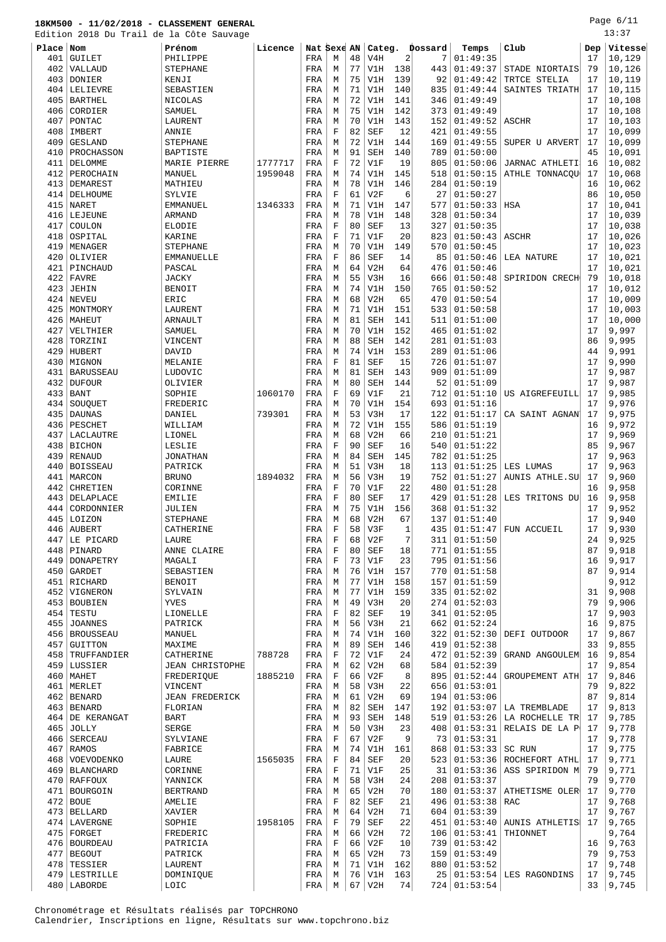Page 6/11 13:37

|            | Edition 2018 Du Trail de la Côte Sauvage |                        |         |             |                  |          |            |                |         |          |                        |     | 13:37   |
|------------|------------------------------------------|------------------------|---------|-------------|------------------|----------|------------|----------------|---------|----------|------------------------|-----|---------|
| Place      | Nom                                      | Prénom                 | Licence | Nat Sexe AN |                  |          | Categ.     |                | Dossard | Temps    | Club                   | Dep | Vitesse |
| 401        | <b>GUILET</b>                            | PHILIPPE               |         | FRA         | М                | 48       | V4H        | $\overline{2}$ | 7       | 01:49:35 |                        | 17  | 10,129  |
| 402        | VALLAUD                                  | <b>STEPHANE</b>        |         | FRA         | М                | 77       | V1H        | 138            | 443     | 01:49:37 | STADE NIORTAIS         | 79  | 10,126  |
| 403        | DONIER                                   | KENJI                  |         | FRA         | М                | 75       | V1H        | 139            | 92      | 01:49:42 | TRTCE STELIA           | 17  | 10,119  |
| 404        | LELIEVRE                                 | SEBASTIEN              |         | FRA         | М                | 71       | V1H        | 140            | 835     | 01:49:44 | SAINTES TRIATH         | 17  | 10,115  |
| 405        | <b>BARTHEL</b>                           | NICOLAS                |         | FRA         | М                | 72       | V1H        | 141            | 346     | 01:49:49 |                        | 17  | 10,108  |
| 406        | CORDIER                                  | SAMUEL                 |         | FRA         | M                | 75       | V1H        | 142            | 373     | 01:49:49 |                        | 17  | 10,108  |
| 407        | PONTAC                                   | LAURENT                |         |             | M                | 70       | V1H        | 143            | 152     | 01:49:52 | <b>ASCHR</b>           | 17  | 10,103  |
|            |                                          |                        |         | FRA         |                  |          |            |                |         |          |                        |     |         |
| 408        | IMBERT                                   | ANNIE                  |         | FRA         | $\mathbf F$      | 82       | <b>SEF</b> | 12             | 421     | 01:49:55 |                        | 17  | 10,099  |
| 409        | <b>GESLAND</b>                           | <b>STEPHANE</b>        |         | FRA         | М                | 72       | V1H        | 144            | 169     | 01:49:55 | SUPER U ARVERT         | 17  | 10,099  |
| 410        | PROCHASSON                               | BAPTISTE               |         | FRA         | М                | 91       | <b>SEH</b> | 140            | 789     | 01:50:00 |                        | 45  | 10,091  |
| 411        | DELOMME                                  | MARIE PIERRE           | 1777717 | FRA         | $\mathbf F$      | 72       | V1F        | 19             | 805     | 01:50:06 | JARNAC ATHLETI         | 16  | 10,082  |
| 412        | PEROCHAIN                                | MANUEL                 | 1959048 | FRA         | М                | 74       | V1H        | 145            | 518     | 01:50:15 | ATHLE TONNACQU         | 17  | 10,068  |
| 413        | DEMAREST                                 | MATHIEU                |         | FRA         | М                | 78       | V1H        | 146            | 284     | 01:50:19 |                        | 16  | 10,062  |
| 414        | DELHOUME                                 | SYLVIE                 |         | FRA         | $\mathbf F$      | 61       | V2F        | 6              | 27      | 01:50:27 |                        | 86  | 10,050  |
| 415        | NARET                                    | EMMANUEL               | 1346333 | FRA         | M                | 71       | V1H        | 147            | 577     | 01:50:33 | HSA                    | 17  | 10,041  |
| 416        | LEJEUNE                                  | <b>ARMAND</b>          |         | FRA         | M                | 78       | V1H        | 148            | 328     | 01:50:34 |                        | 17  | 10,039  |
| 417        | COULON                                   | <b>ELODIE</b>          |         | FRA         | F                | 80       | <b>SEF</b> | 13             | 327     | 01:50:35 |                        | 17  | 10,038  |
| 418        | OSPITAL                                  | KARINE                 |         | FRA         | $\rm F$          | 71       | V1F        | 20             | 823     | 01:50:43 | <b>ASCHR</b>           | 17  | 10,026  |
| 419        | MENAGER                                  | <b>STEPHANE</b>        |         | FRA         | М                | 70       | V1H        | 149            | 570     | 01:50:45 |                        | 17  | 10,023  |
| 420        | OLIVIER                                  | <b>EMMANUELLE</b>      |         | FRA         | $\mathbf F$      | 86       | <b>SEF</b> | 14             | 85      | 01:50:46 | LEA NATURE             | 17  | 10,021  |
|            | PINCHAUD                                 |                        |         |             |                  | 64       |            |                |         | 01:50:46 |                        |     |         |
| 421        |                                          | PASCAL                 |         | FRA         | М                |          | V2H        | 64             | 476     |          |                        | 17  | 10,021  |
| 422        | <b>FAVRE</b>                             | <b>JACKY</b>           |         | FRA         | M                | 55       | V3H        | 16             | 666     | 01:50:48 | SPIRIDON CRECH         | 79  | 10,018  |
| 423        | JEHIN                                    | <b>BENOIT</b>          |         | FRA         | М                | 74       | V1H        | 150            | 765     | 01:50:52 |                        | 17  | 10,012  |
| 424        | NEVEU                                    | ERIC                   |         | FRA         | М                | 68       | V2H        | 65             | 470     | 01:50:54 |                        | 17  | 10,009  |
| 425        | MONTMORY                                 | LAURENT                |         | FRA         | М                | 71       | V1H        | 151            | 533     | 01:50:58 |                        | 17  | 10,003  |
| 426        | MAHEUT                                   | ARNAULT                |         | FRA         | М                | 81       | <b>SEH</b> | 141            | 511     | 01:51:00 |                        | 17  | 10,000  |
| 427        | VELTHIER                                 | SAMUEL                 |         | FRA         | M                | 70       | V1H        | 152            | 465     | 01:51:02 |                        | 17  | 9,997   |
| 428        | TORZINI                                  | VINCENT                |         | FRA         | М                | 88       | <b>SEH</b> | 142            | 281     | 01:51:03 |                        | 86  | 9,995   |
| 429        | HUBERT                                   | DAVID                  |         | FRA         | М                | 74       | V1H        | 153            | 289     | 01:51:06 |                        | 44  | 9,991   |
| 430        | MIGNON                                   | MELANIE                |         | FRA         | F                | 81       | <b>SEF</b> | 15             | 726     | 01:51:07 |                        | 17  | 9,990   |
| 431        | <b>BARUSSEAU</b>                         | LUDOVIC                |         | FRA         | M                | 81       | <b>SEH</b> | 143            | 909     | 01:51:09 |                        | 17  | 9,987   |
| 432        | <b>DUFOUR</b>                            | OLIVIER                |         | FRA         | M                | 80       | <b>SEH</b> | 144            | 52      | 01:51:09 |                        | 17  | 9,987   |
| 433        | <b>BANT</b>                              | SOPHIE                 | 1060170 | FRA         | $\mathbf F$      | 69       | V1F        | 21             | 712     | 01:51:10 | US AIGREFEUILL         | 17  | 9,985   |
| 434        | SOUQUET                                  | FREDERIC               |         | FRA         | M                | 70       | V1H        | 154            | 693     | 01:51:16 |                        | 17  | 9,976   |
| 435        | <b>DAUNAS</b>                            | DANIEL                 | 739301  | FRA         | М                | 53       | V3H        | 17             | 122     | 01:51:17 | CA SAINT AGNAN         | 17  | 9,975   |
| 436        | PESCHET                                  | WILLIAM                |         | FRA         | М                | 72       | V1H        | 155            | 586     | 01:51:19 |                        | 16  | 9,972   |
|            |                                          |                        |         |             |                  |          |            |                |         |          |                        |     |         |
| 437        | LACLAUTRE                                | LIONEL                 |         | FRA         | М                | 68       | V2H        | 66             | 210     | 01:51:21 |                        | 17  | 9,969   |
| 438        | <b>BICHON</b>                            | LESLIE                 |         | FRA         | $\mathbf F$      | 90       | <b>SEF</b> | 16             | 540     | 01:51:22 |                        | 85  | 9,967   |
| 439        | <b>RENAUD</b>                            | <b>JONATHAN</b>        |         | FRA         | М                | 84       | <b>SEH</b> | 145            | 782     | 01:51:25 |                        | 17  | 9,963   |
| 440        | <b>BOISSEAU</b>                          | PATRICK                |         | FRA         | M                | 51       | V3H        | 18             | 113     | 01:51:25 | LES LUMAS              | 17  | 9,963   |
| 441        | MARCON                                   | <b>BRUNO</b>           | 1894032 | FRA         | М                | 56       | V3H        | 19             | 752     | 01:51:27 | <b>AUNIS ATHLE.SU</b>  | 17  | 9,960   |
| 442        | CHRETIEN                                 | CORINNE                |         | FRA         | $\mathbf F$      | 70       | V1F        | 22             | 480     | 01:51:28 |                        | 16  | 9,958   |
| 443        | DELAPLACE                                | <b>EMILIE</b>          |         | FRA         | F                | 80       | <b>SEF</b> | 17             | 429     | 01:51:28 | LES TRITONS DU         | 16  | 9,958   |
| 444        | CORDONNIER                               | JULIEN                 |         | FRA         | М                | 75       | V1H        | 156            | 368     | 01:51:32 |                        | 17  | 9,952   |
|            | 445 LOIZON                               | <b>STEPHANE</b>        |         | FRA         | М                | 68       | V2H        | 67             | 137     | 01:51:40 |                        | 17  | 9,940   |
|            | 446 AUBERT                               | CATHERINE              |         | FRA         | $\mathbf F$      | 58       | V3F        | $\mathbf{1}$   | 435     |          | $01:51:47$ FUN ACCUEIL | 17  | 9,930   |
| 447        | LE PICARD                                | LAURE                  |         | FRA         | $\mathbf F$      | 68       | V2F        | 7              | 311     | 01:51:50 |                        | 24  | 9,925   |
| 448        | PINARD                                   | ANNE CLAIRE            |         | FRA         | $\mathbf F$      | 80       | SEF        | 18             | 771     | 01:51:55 |                        | 87  | 9,918   |
| 449        | DONAPETRY                                | MAGALI                 |         | FRA         | $\mathbf F$      | 73       | V1F        | 23             | 795     | 01:51:56 |                        | 16  | 9,917   |
| 450        | GARDET                                   | SEBASTIEN              |         | FRA         | М                | 76       | V1H        | 157            | 770     | 01:51:58 |                        | 87  | 9,914   |
| 451        | RICHARD                                  | <b>BENOIT</b>          |         | FRA         | М                | 77       | V1H        | 158            | 157     | 01:51:59 |                        |     | 9,912   |
| 452        | VIGNERON                                 | SYLVAIN                |         | FRA         | М                | 77       | V1H        | 159            | 335     | 01:52:02 |                        | 31  | 9,908   |
| 453        | BOUBIEN                                  | YVES                   |         | FRA         | М                | 49       | V3H        | 20             | 274     | 01:52:03 |                        | 79  | 9,906   |
|            | $454$ TESTU                              | LIONELLE               |         | FRA         | F                | 82       | SEF        | 19             | 341     | 01:52:05 |                        | 17  | 9,903   |
| 455        | <b>JOANNES</b>                           | PATRICK                |         | FRA         | М                | 56       | V3H        | 21             | 662     | 01:52:24 |                        | 16  | 9,875   |
|            | 456   BROUSSEAU                          | MANUEL                 |         | FRA         | M                | 74       | V1H        | 160            | 322     | 01:52:30 | DEFI OUTDOOR           | 17  | 9,867   |
|            |                                          |                        |         |             | М                | 89       | <b>SEH</b> | 146            | 419     | 01:52:38 |                        | 33  | 9,855   |
| 457<br>458 | <b>GUITTON</b><br>TRUFFANDIER            | MAXIME<br>CATHERINE    | 788728  | FRA<br>FRA  | $\mathbf F$      | 72       | V1F        | 24             | 472     | 01:52:39 | GRAND ANGOULEM         | 16  | 9,854   |
|            |                                          |                        |         |             |                  |          |            |                |         |          |                        |     |         |
| 459        | LUSSIER                                  | <b>JEAN CHRISTOPHE</b> |         | FRA         | М<br>$\mathbf F$ | 62<br>66 | V2H        | 68<br>8        | 584     | 01:52:39 |                        | 17  | 9,854   |
| 460        | MAHET                                    | FREDERIQUE             | 1885210 | FRA         |                  |          | V2F        |                | 895     | 01:52:44 | GROUPEMENT ATH         | 17  | 9,846   |
|            | 461   MERLET                             | VINCENT                |         | FRA         | М                | 58       | V3H        | 22             | 656     | 01:53:01 |                        | 79  | 9,822   |
|            | 462   BENARD                             | <b>JEAN FREDERICK</b>  |         | FRA         | М                | 61       | V2H        | 69             | 194     | 01:53:06 |                        | 87  | 9,814   |
|            | 463 BENARD                               | FLORIAN                |         | FRA         | М                | 82       | <b>SEH</b> | 147            | 192     | 01:53:07 | LA TREMBLADE           | 17  | 9,813   |
| 464        | DE KERANGAT                              | <b>BART</b>            |         | FRA         | М                | 93       | <b>SEH</b> | 148            | 519     | 01:53:26 | LA ROCHELLE TR         | 17  | 9,785   |
| 465        | <b>JOLLY</b>                             | SERGE                  |         | FRA         | M                | 50       | V3H        | 23             | 408     | 01:53:31 | RELAIS DE LA P         | 17  | 9,778   |
| 466        | <b>SERCEAU</b>                           | SYLVIANE               |         | FRA         | F                | 67       | V2F        | 9              | 73      | 01:53:31 |                        | 17  | 9,778   |
| 467        | RAMOS                                    | FABRICE                |         | FRA         | М                | 74       | V1H        | 161            | 868     | 01:53:33 | SC RUN                 | 17  | 9,775   |
| 468        | VOEVODENKO                               | LAURE                  | 1565035 | FRA         | F                | 84       | <b>SEF</b> | 20             | 523     | 01:53:36 | ROCHEFORT ATHL         | 17  | 9,771   |
|            | 469   BLANCHARD                          | CORINNE                |         | FRA         | $\mathbf F$      | 71       | V1F        | 25             | 31      | 01:53:36 | ASS SPIRIDON M         | 79  | 9,771   |
|            | 470 RAFFOUX                              | YANNICK                |         | FRA         | М                | 58       | V3H        | 24             | 208     | 01:53:37 |                        | 79  | 9,770   |
| 471        | BOURGOIN                                 | <b>BERTRAND</b>        |         | FRA         | М                | 65       | V2H        | 70             | 180     | 01:53:37 | ATHETISME OLER         | 17  | 9,770   |
|            | $472$ BOUE                               | AMELIE                 |         | FRA         | $\mathbf F$      | 82       | <b>SEF</b> | 21             | 496     | 01:53:38 | RAC                    | 17  | 9,768   |
| 473        | <b>BELLARD</b>                           | XAVIER                 |         | FRA         | М                | 64       | V2H        | 71             | 604     | 01:53:39 |                        | 17  | 9,767   |
|            | 474   LAVERGNE                           | SOPHIE                 | 1958105 | FRA         | $\mathbf F$      | 79       | SEF        | 22             | 451     | 01:53:40 | AUNIS ATHLETIS!        | 17  | 9,765   |
| 475        | FORGET                                   | FREDERIC               |         | FRA         | М                | 66       | V2H        | 72             | 106     | 01:53:41 | THIONNET               |     | 9,764   |
|            | 476   BOURDEAU                           | PATRICIA               |         | FRA         | F                | 66       | V2F        | 10             | 739     | 01:53:42 |                        | 16  | 9,763   |
| 477        | <b>BEGOUT</b>                            | PATRICK                |         | FRA         | М                | 65       | V2H        | 73             | 159     | 01:53:49 |                        | 79  | 9,753   |
| 478        | TESSIER                                  | LAURENT                |         | FRA         | М                | 71       | V1H        | 162            | 880     | 01:53:52 |                        | 17  | 9,748   |
|            | 479 LESTRILLE                            |                        |         | FRA         | М                | 76       | V1H        | 163            | 25      | 01:53:54 |                        | 17  | 9,745   |
|            |                                          | DOMINIQUE              |         |             |                  |          |            |                |         |          | LES RAGONDINS          |     |         |
|            | 480   LABORDE                            | LOIC                   |         | FRA         | М                | 67       | V2H        | 74             | 724     | 01:53:54 |                        | 33  | 9,745   |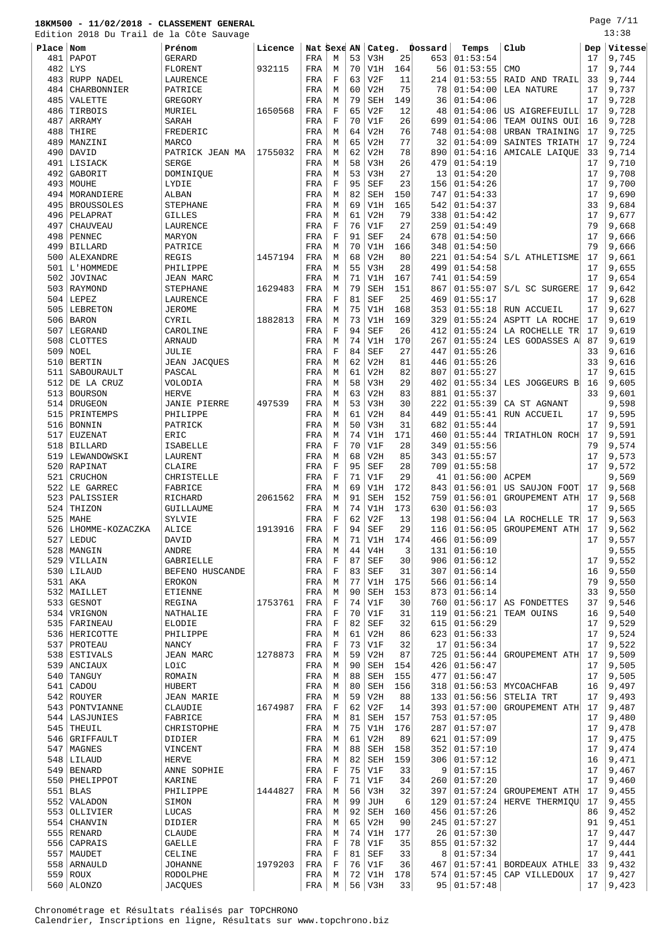Page 7/11 13:38

|           | Edition 2018 Du Trail de la Côte Sauvage |                     |         |             |             |    |            |     |         |               |                           |     | 13:38                                 |
|-----------|------------------------------------------|---------------------|---------|-------------|-------------|----|------------|-----|---------|---------------|---------------------------|-----|---------------------------------------|
| Place Nom |                                          | Prénom              | Licence | Nat Sexe AN |             |    | Categ.     |     | Dossard | Temps         | Club                      | Dep | Vitesse                               |
| 481       | PAPOT                                    | GERARD              |         | FRA         | М           | 53 | V3H        | 25  | 653     | 01:53:54      |                           | 17  | 9,745                                 |
| 482       | LYS                                      | FLORENT             | 932115  | FRA         | М           | 70 | V1H        | 164 | 56      | 01:53:55      | <b>CMO</b>                | 17  | 9,744                                 |
| 483       | RUPP NADEL                               | LAURENCE            |         | FRA         | F           | 63 | V2F        | 11  | 214     | 01:53:55      | RAID AND TRAIL            | 33  | 9,744                                 |
| 484       | CHARBONNIER                              | PATRICE             |         | FRA         | М           | 60 | V2H        | 75  | 78      | 01:54:00      | LEA NATURE                | 17  | 9,737                                 |
| 485       | VALETTE                                  | GREGORY             |         | FRA         | М           | 79 | <b>SEH</b> | 149 | 36      | 01:54:06      |                           | 17  | 9,728                                 |
| 486       | TIRBOIS                                  | MURIEL              | 1650568 | FRA         | $\mathbf F$ | 65 | V2F        | 12  | 48      | 01:54:06      | US AIGREFEUILL            | 17  | 9,728                                 |
| 487       | ARRAMY                                   | SARAH               |         | FRA         | F           | 70 | V1F        | 26  | 699     | 01:54:06      | TEAM OUINS OUI            | 16  | 9,728                                 |
| 488       | THIRE                                    | FREDERIC            |         | FRA         | М           | 64 | V2H        | 76  | 748     | 01:54:08      | URBAN TRAINING            | 17  | 9,725                                 |
| 489       | MANZINI                                  | <b>MARCO</b>        |         | FRA         | М           | 65 | V2H        | 77  | 32      | 01:54:09      | SAINTES TRIATH            | 17  | 9,724                                 |
| 490       | DAVID                                    | PATRICK JEAN MA     | 1755032 | FRA         | М           | 62 | V2H        | 78  | 890     | 01:54:16      | AMICALE LAIQUE            | 33  | 9,714                                 |
| 491       | LISIACK                                  | <b>SERGE</b>        |         | FRA         | М           | 58 | V3H        | 26  | 479     | 01:54:19      |                           | 17  | 9,710                                 |
| 492       | GABORIT                                  | DOMINIQUE           |         | FRA         | М           | 53 | V3H        | 27  | 13      | 01:54:20      |                           | 17  | 9,708                                 |
| 493       | MOUHE                                    | LYDIE               |         | FRA         | F           | 95 | <b>SEF</b> | 23  | 156     | 01:54:26      |                           | 17  | 9,700                                 |
| 494       | MORANDIERE                               | ALBAN               |         | FRA         | M           | 82 | <b>SEH</b> | 150 | 747     | 01:54:33      |                           | 17  | 9,690                                 |
| 495       | <b>BROUSSOLES</b>                        | <b>STEPHANE</b>     |         | FRA         | М           | 69 | V1H        | 165 | 542     | 01:54:37      |                           | 33  | 9,684                                 |
| 496       | PELAPRAT                                 | <b>GILLES</b>       |         | FRA         | М           | 61 | V2H        | 79  | 338     | 01:54:42      |                           | 17  | 9,677                                 |
| 497       | <b>CHAUVEAU</b>                          | LAURENCE            |         | FRA         | F           | 76 | V1F        | 27  | 259     | 01:54:49      |                           | 79  | 9,668                                 |
| 498       | PENNEC                                   | MARYON              |         | FRA         | F           | 91 | <b>SEF</b> | 24  | 678     | 01:54:50      |                           | 17  | 9,666                                 |
| 499       | <b>BILLARD</b>                           | PATRICE             |         | FRA         | М           | 70 | V1H        | 166 | 348     | 01:54:50      |                           | 79  | 9,666                                 |
| 500       | ALEXANDRE                                | <b>REGIS</b>        | 1457194 | FRA         | М           | 68 | V2H        | 80  | 221     | 01:54:54      | S/L ATHLETISME            | 17  | 9,661                                 |
| 501       | L'HOMMEDE                                | PHILIPPE            |         | FRA         | М           | 55 | V3H        | 28  | 499     | 01:54:58      |                           | 17  | 9,655                                 |
| 502       | <b>JOVINAC</b>                           | <b>JEAN MARC</b>    |         | FRA         | М           | 71 | V1H        | 167 | 741     | 01:54:59      |                           | 17  | 9,654                                 |
| 503       | RAYMOND                                  | STEPHANE            | 1629483 | FRA         | М           | 79 | <b>SEH</b> | 151 | 867     | 01:55:07      | S/L SC SURGERE            | 17  | 9,642                                 |
| 504       | LEPEZ                                    |                     |         |             | $\rm F$     | 81 | <b>SEF</b> | 25  | 469     | 01:55:17      |                           | 17  |                                       |
|           |                                          | LAURENCE            |         | FRA         |             | 75 |            | 168 |         |               | RUN ACCUEIL               |     | 9,628                                 |
| 505       | LEBRETON                                 | <b>JEROME</b>       |         | FRA         | М           |    | V1H        |     | 353     | 01:55:18      |                           | 17  | 9,627                                 |
| 506       | <b>BARON</b>                             | CYRIL               | 1882813 | FRA         | М           | 73 | V1H        | 169 | 329     | 01:55:24      | ASPTT LA ROCHE            | 17  | 9,619                                 |
| 507       | LEGRAND                                  | CAROLINE            |         | FRA         | F           | 94 | <b>SEF</b> | 26  | 412     | 01:55:24      | LA ROCHELLE TR            | 17  | 9,619                                 |
| 508       | <b>CLOTTES</b>                           | ARNAUD              |         | FRA         | М           | 74 | V1H        | 170 | 267     | 01:55:24      | LES GODASSES A            | 87  | 9,619                                 |
| 509       | NOEL                                     | JULIE               |         | FRA         | F           | 84 | <b>SEF</b> | 27  | 447     | 01:55:26      |                           | 33  | 9,616                                 |
| 510       | <b>BERTIN</b>                            | <b>JEAN JACQUES</b> |         | FRA         | М           | 62 | V2H        | 81  | 446     | 01:55:26      |                           | 33  | 9,616                                 |
| 511       | SABOURAULT                               | PASCAL              |         | FRA         | М           | 61 | V2H        | 82  | 807     | 01:55:27      |                           | 17  | 9,615                                 |
| 512       | DE LA CRUZ                               | VOLODIA             |         | FRA         | М           | 58 | V3H        | 29  | 402     | 01:55:34      | LES JOGGEURS B            | 16  | 9,605                                 |
| 513       | <b>BOURSON</b>                           | <b>HERVE</b>        |         | FRA         | М           | 63 | V2H        | 83  | 881     | 01:55:37      |                           | 33  | 9,601                                 |
| 514       | DRUGEON                                  | <b>JANIE PIERRE</b> | 497539  | FRA         | М           | 53 | V3H        | 30  | 222     | 01:55:39      | CA ST AGNANT              |     | 9,598                                 |
| 515       | PRINTEMPS                                | PHILIPPE            |         | FRA         | М           | 61 | V2H        | 84  | 449     | 01:55:41      | RUN ACCUEIL               | 17  | 9,595                                 |
| 516       | <b>BONNIN</b>                            | PATRICK             |         | FRA         | М           | 50 | V3H        | 31  | 682     | 01:55:44      |                           | 17  | 9,591                                 |
| 517       | EUZENAT                                  | ERIC                |         | FRA         | М           | 74 | V1H        | 171 | 460     | 01:55:44      | TRIATHLON ROCH            | 17  | 9,591                                 |
| 518       | <b>BILLARD</b>                           | ISABELLE            |         | FRA         | F           | 70 | V1F        | 28  | 349     | 01:55:56      |                           | 79  | 9,574                                 |
| 519       | LEWANDOWSKI                              | LAURENT             |         | FRA         | M           | 68 | V2H        | 85  | 343     | 01:55:57      |                           | 17  | 9,573                                 |
| 520       | RAPINAT                                  | CLAIRE              |         | FRA         | $\mathbf F$ | 95 | <b>SEF</b> | 28  | 709     | 01:55:58      |                           | 17  | 9,572                                 |
| 521       | CRUCHON                                  | CHRISTELLE          |         | FRA         | F           | 71 | V1F        | 29  | 41      | 01:56:00      | ACPEM                     |     | 9,569                                 |
| 522       | LE GARREC                                | FABRICE             |         | FRA         | М           | 69 | V1H        | 172 | 843     | 01:56:01      | US SAUJON FOOT            | 17  | 9,568                                 |
| 523       | PALISSIER                                | RICHARD             | 2061562 | FRA         | М           | 91 | SEH        | 152 | 759     | 01:56:01      | GROUPEMENT ATH            | 17  | 9,568                                 |
| 524       | THIZON                                   | GUILLAUME           |         | FRA         | М           | 74 | V1H        | 173 | 630     | 01:56:03      |                           | 17  | 9,565                                 |
| 525       | MAHE                                     | SYLVIE              |         | FRA         | F           | 62 | V2F        | 13  | 198     |               | $01:56:04$ LA ROCHELLE TR | 17  | 9,563                                 |
|           | 526   LHOMME-KOZACZKA                    | ALICE               | 1913916 | FRA         | $\mathbf F$ | 94 | <b>SEF</b> | 29  | 116     |               | $01:56:05$ GROUPEMENT ATH | 17  | 9,562                                 |
| 527       | LEDUC                                    | DAVID               |         | FRA         | М           | 71 | V1H        | 174 | 466     | 01:56:09      |                           | 17  | 9,557                                 |
| 528       | MANGIN                                   | <b>ANDRE</b>        |         | FRA         | M           | 44 | V4H        | 3   | 131     | 01:56:10      |                           |     | 9,555                                 |
| 529       | VILLAIN                                  | <b>GABRIELLE</b>    |         | FRA         | $\mathbf F$ | 87 | <b>SEF</b> | 30  | 906     | 01:56:12      |                           | 17  | 9,552                                 |
|           | $530$   LILAUD                           | BEFENO HUSCANDE     |         | FRA         | F           | 83 | <b>SEF</b> | 31  | 307     | 01:56:14      |                           | 16  | 9,550                                 |
| 531       | AKA                                      | <b>EROKON</b>       |         | FRA         | М           | 77 | V1H        | 175 | 566     | 01:56:14      |                           | 79  | 9,550                                 |
|           | 532 MAILLET                              | <b>ETIENNE</b>      |         | FRA         | М           | 90 | <b>SEH</b> | 153 | 873     | 01:56:14      |                           | 33  | 9,550                                 |
| 533       | <b>GESNOT</b>                            | REGINA              | 1753761 | FRA         | F           | 74 | V1F        | 30  | 760     | 01:56:17      | AS FONDETTES              | 37  | 9,546                                 |
|           | 534   VRIGNON                            | NATHALIE            |         | FRA         | F           | 70 | V1F        | 31  | 119     | 01:56:21      | TEAM OUINS                | 16  | 9,540                                 |
| 535       | FARINEAU                                 | ELODIE              |         | FRA         | F           | 82 | <b>SEF</b> | 32  | 615     | 01:56:29      |                           | 17  | 9,529                                 |
|           | 536   HERICOTTE                          | PHILIPPE            |         | FRA         | М           | 61 | V2H        | 86  | 623     | 01:56:33      |                           | 17  | 9,524                                 |
| 537       | PROTEAU                                  | <b>NANCY</b>        |         | FRA         | F           | 73 | V1F        | 32  | 17      | 01:56:34      |                           | 17  | 9,522                                 |
|           | 538 ESTIVALS                             | JEAN MARC           | 1278873 | FRA         | М           | 59 | V2H        | 87  | 725     | 01:56:44      | GROUPEMENT ATH            | 17  | 9,509                                 |
| 539       | ANCIAUX                                  | LOïC                |         | FRA         | М           | 90 | SEH        | 154 | 426     | 01:56:47      |                           | 17  | 9,505                                 |
| 540       | TANGUY                                   | ROMAIN              |         | FRA         | М           | 88 | SEH        | 155 | 477     | 01:56:47      |                           | 17  | 9,505                                 |
| 541       | CADOU                                    | HUBERT              |         | FRA         | М           | 80 | SEH        | 156 | 318     | 01:56:53      | MYCOACHFAB                | 16  | 9,497                                 |
|           | 542 ROUYER                               | <b>JEAN MARIE</b>   |         | FRA         | М           | 59 | V2H        | 88  | 133     | 01:56:56      | STELIA TRT                | 17  | 9,493                                 |
| 543       | PONTVIANNE                               | CLAUDIE             | 1674987 | FRA         | F           | 62 | V2F        | 14  | 393     | 01:57:00      | GROUPEMENT ATH            | 17  | 9,487                                 |
| 544       | LASJUNIES                                | FABRICE             |         | FRA         | М           | 81 | <b>SEH</b> | 157 | 753     | 01:57:05      |                           | 17  | 9,480                                 |
| 545       | THEUIL                                   | CHRISTOPHE          |         | FRA         | М           | 75 | V1H        | 176 | 287     | 01:57:07      |                           | 17  | 9,478                                 |
| 546       | GRIFFAULT                                | DIDIER              |         | FRA         | М           | 61 | V2H        | 89  | 621     | 01:57:09      |                           | 17  | 9,475                                 |
| 547       | MAGNES                                   | VINCENT             |         | FRA         | М           | 88 | <b>SEH</b> | 158 | 352     | 01:57:10      |                           | 17  | $\boldsymbol{9}$ , $\boldsymbol{474}$ |
|           |                                          |                     |         |             |             |    |            |     |         |               |                           |     |                                       |
|           | $548$ LILAUD                             | <b>HERVE</b>        |         | FRA         | М           | 82 | <b>SEH</b> | 159 | 306     | 01:57:12      |                           | 16  | 9,471                                 |
| 549       | <b>BENARD</b>                            | ANNE SOPHIE         |         | FRA         | F           | 75 | V1F        | 33  | 9       | 01:57:15      |                           | 17  | 9,467                                 |
|           | 550   PHELIPPOT                          | KARINE              |         | FRA         | F           | 71 | V1F        | 34  | 260     | 01:57:20      |                           | 17  | 9,460                                 |
| 551       | <b>BLAS</b>                              | PHILIPPE            | 1444827 | FRA         | М           | 56 | V3H        | 32  | 397     | 01:57:24      | GROUPEMENT ATH            | 17  | 9,455                                 |
| 552       | VALADON                                  | SIMON               |         | FRA         | M           | 99 | <b>JUH</b> | 6   | 129     | 01:57:24      | HERVE THERMIQU            | 17  | 9,455                                 |
| 553       | OLLIVIER                                 | LUCAS               |         | FRA         | М           | 92 | SEH        | 160 | 456     | 01:57:26      |                           | 86  | 9,452                                 |
| 554       | CHANVIN                                  | DIDIER              |         | FRA         | М           | 65 | V2H        | 90  | 245     | 01:57:27      |                           | 91  | 9,451                                 |
| 555       | RENARD                                   | <b>CLAUDE</b>       |         | FRA         | М           | 74 | V1H        | 177 | 26      | 01:57:30      |                           | 17  | 9,447                                 |
| 556       | CAPRAIS                                  | GAELLE              |         | FRA         | F           | 78 | V1F        | 35  | 855     | 01:57:32      |                           | 17  | 9,444                                 |
| 557       | MAUDET                                   | CELINE              |         | FRA         | F           | 81 | SEF        | 33  | 8       | 01:57:34      |                           | 17  | 9,441                                 |
| 558       | ARNAULD                                  | <b>JOHANNE</b>      | 1979203 | FRA         | F           | 76 | V1F        | 36  | 467     | 01:57:41      | BORDEAUX ATHLE            | 33  | 9,432                                 |
|           | 559 ROUX                                 | RODOLPHE            |         | FRA         | М           | 72 | V1H        | 178 | 574     | 01:57:45      | CAP VILLEDOUX             | 17  | 9,427                                 |
|           | 560   ALONZO                             | <b>JACQUES</b>      |         | FRA         | М           | 56 | V3H        | 33  |         | 95   01:57:48 |                           | 17  | 9,423                                 |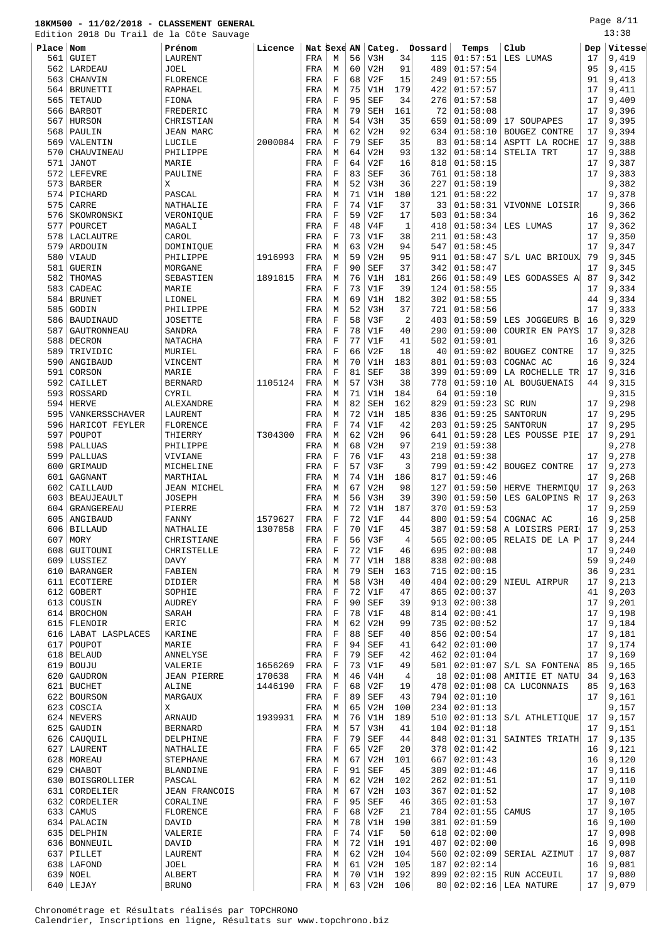#### **18KM500 - 11/02/2018 - CLASSEMENT GENERAL** Edition 2018 Du Trail de la Côte Sauvage

| Place | Nom                 | Prénom             | Licence | Nat Sexe AN |                |                 | Categ.     |                | Dossard | Temps          | Club                        | Dep | Vitesse |
|-------|---------------------|--------------------|---------|-------------|----------------|-----------------|------------|----------------|---------|----------------|-----------------------------|-----|---------|
| 561   | <b>GUIET</b>        | LAURENT            |         | FRA         | М              | 56              | V3H        | 34             | 115     | 01:57:51       | LES LUMAS                   | 17  | 9,419   |
| 562   | LARDEAU             | JOEL               |         | FRA         | М              | 60              | V2H        | 91             | 489     | 01:57:54       |                             | 95  | 9,415   |
| 563   | CHANVIN             | FLORENCE           |         | FRA         | $\rm F$        | 68              | V2F        | 15             | 249     | 01:57:55       |                             | 91  | 9,413   |
|       |                     |                    |         |             |                |                 |            |                |         |                |                             |     |         |
| 564   | <b>BRUNETTI</b>     | <b>RAPHAEL</b>     |         | FRA         | M              | 75              | V1H        | 179            | 422     | 01:57:57       |                             | 17  | 9,411   |
| 565   | TETAUD              | FIONA              |         | FRA         | $_{\rm F}$     | 95              | <b>SEF</b> | 34             | 276     | 01:57:58       |                             | 17  | 9,409   |
| 566   | <b>BARBOT</b>       | FREDERIC           |         | FRA         | M              | 79              | SEH        | 161            | 72      | 01:58:08       |                             | 17  | 9,396   |
| 567   | HURSON              | CHRISTIAN          |         | FRA         | М              | 54              | V3H        | 35             | 659     | 01:58:09       | 17 SOUPAPES                 | 17  | 9,395   |
| 568   | PAULIN              | <b>JEAN MARC</b>   |         | FRA         | М              | 62              | V2H        | 92             | 634     | 01:58:10       | <b>BOUGEZ CONTRE</b>        | 17  | 9,394   |
| 569   | VALENTIN            | LUCILE             | 2000084 | FRA         | $_{\rm F}$     | 79              | <b>SEF</b> | 35             | 83      | 01:58:14       | ASPTT LA ROCHE              | 17  | 9,388   |
| 570   | CHAUVINEAU          | PHILIPPE           |         | FRA         | М              | 64              | V2H        | 93             | 132     | 01:58:14       | STELIA TRT                  | 17  | 9,388   |
| 571   | <b>JANOT</b>        | MARIE              |         | FRA         | F              | 64              | V2F        | 16             | 818     | 01:58:15       |                             | 17  | 9,387   |
| 572   | LEFEVRE             | PAULINE            |         | FRA         | $\rm F$        | 83              | <b>SEF</b> | 36             | 761     | 01:58:18       |                             | 17  | 9,383   |
| 573   | <b>BARBER</b>       | Χ                  |         | FRA         | M              | 52              | V3H        | 36             | 227     | 01:58:19       |                             |     | 9,382   |
| 574   | PICHARD             | PASCAL             |         | FRA         | М              | 71              | V1H        | 180            | 121     | 01:58:22       |                             | 17  | 9,378   |
| 575   | CARRE               | NATHALIE           |         | FRA         | $_{\rm F}$     | 74              | V1F        | 37             | 33      | 01:58:31       | VIVONNE LOISIR              |     | 9,366   |
|       |                     |                    |         |             |                |                 |            |                |         |                |                             |     |         |
| 576   | SKOWRONSKI          | VERONIQUE          |         | FRA         | $\rm F$        | 59              | V2F        | 17             | 503     | 01:58:34       |                             | 16  | 9,362   |
| 577   | POURCET             | MAGALI             |         | FRA         | $_{\rm F}$     | 48              | V4F        | 1              | 418     | 01:58:34       | LES LUMAS                   | 17  | 9,362   |
| 578   | LACLAUTRE           | CAROL              |         | FRA         | F              | 73              | V1F        | 38             | 211     | 01:58:43       |                             | 17  | 9,350   |
| 579   | ARDOUIN             | DOMINIQUE          |         | FRA         | М              | 63              | V2H        | 94             | 547     | 01:58:45       |                             | 17  | 9,347   |
| 580   | VIAUD               | PHILIPPE           | 1916993 | FRA         | М              | 59              | V2H        | 95             | 911     | 01:58:47       | S/L UAC BRIOUX              | 79  | 9,345   |
| 581   | <b>GUERIN</b>       | MORGANE            |         | FRA         | $_{\rm F}$     | 90              | <b>SEF</b> | 37             | 342     | 01:58:47       |                             | 17  | 9,345   |
| 582   | THOMAS              | SEBASTIEN          | 1891815 | FRA         | М              | 76              | V1H        | 181            | 266     | 01:58:49       | LES GODASSES A              | 87  | 9,342   |
| 583   | CADEAC              | MARIE              |         | FRA         | $_{\rm F}$     | 73              | V1F        | 39             | 124     | 01:58:55       |                             | 17  | 9,334   |
| 584   | <b>BRUNET</b>       | LIONEL             |         | FRA         | М              | 69              | V1H        | 182            | 302     | 01:58:55       |                             | 44  | 9,334   |
| 585   | GODIN               | PHILIPPE           |         | FRA         | М              | 52              | V3H        | 37             | 721     | 01:58:56       |                             | 17  | 9,333   |
| 586   | BAUDINAUD           | JOSETTE            |         | FRA         | F              | 58              | V3F        | $\overline{2}$ | 403     | 01:58:59       | LES JOGGEURS B              | 16  | 9,329   |
| 587   | GAUTRONNEAU         | <b>SANDRA</b>      |         | FRA         | F              | 78              | V1F        | 40             | 290     | 01:59:00       | COURIR EN PAYS              | 17  | 9,328   |
|       |                     |                    |         |             |                |                 |            |                |         |                |                             |     |         |
| 588   | DECRON              | NATACHA            |         | FRA         | F              | 77              | V1F        | 41             | 502     | 01:59:01       |                             | 16  | 9,326   |
| 589   | TRIVIDIC            | MURIEL             |         | FRA         | $_{\rm F}$     | 66              | V2F        | 18             | 40      | 01:59:02       | <b>BOUGEZ CONTRE</b>        | 17  | 9,325   |
| 590   | ANGIBAUD            | VINCENT            |         | FRA         | М              | 70              | V1H        | 183            | 801     | 01:59:03       | COGNAC AC                   | 16  | 9,324   |
| 591   | CORSON              | MARIE              |         | FRA         | F              | 81              | <b>SEF</b> | 38             | 399     | 01:59:09       | LA ROCHELLE TR              | 17  | 9,316   |
| 592   | CAILLET             | <b>BERNARD</b>     | 1105124 | FRA         | М              | 57              | V3H        | 38             | 778     | 01:59:10       | AL BOUGUENAIS               | 44  | 9,315   |
| 593   | ROSSARD             | CYRIL              |         | FRA         | М              | 71              | V1H        | 184            | 64      | 01:59:10       |                             |     | 9,315   |
| 594   | <b>HERVE</b>        | ALEXANDRE          |         | FRA         | М              | 82              | <b>SEH</b> | 162            | 829     | 01:59:23       | SC RUN                      | 17  | 9,298   |
| 595   | VANKERSSCHAVER      | LAURENT            |         | FRA         | М              | 72              | V1H        | 185            | 836     | 01:59:25       | SANTORUN                    | 17  | 9,295   |
| 596   | HARICOT FEYLER      | FLORENCE           |         | FRA         | F              | 74              | V1F        | 42             | 203     | 01:59:25       | SANTORUN                    | 17  | 9,295   |
| 597   | POUPOT              | THIERRY            | T304300 | FRA         | М              | 62              | V2H        | 96             | 641     | 01:59:28       | LES POUSSE PIE              | 17  | 9,291   |
| 598   | PALLUAS             | PHILIPPE           |         | FRA         | M              | 68              | V2H        | 97             | 219     | 01:59:38       |                             |     | 9,278   |
| 599   | PALLUAS             | VIVIANE            |         | FRA         | $_{\rm F}$     | 76              | V1F        | 43             | 218     | 01:59:38       |                             | 17  | 9,278   |
| 600   | GRIMAUD             |                    |         |             | $_{\rm F}$     | 57              | V3F        | 3              | 799     | 01:59:42       |                             | 17  | 9,273   |
|       |                     | MICHELINE          |         | FRA         |                |                 |            |                |         |                | BOUGEZ CONTRE               |     |         |
| 601   | GAGNANT             | MARTHIAL           |         | FRA         | М              | 74              | V1H        | 186            | 817     | 01:59:46       |                             | 17  | 9,268   |
| 602   | CAILLAUD            | <b>JEAN MICHEL</b> |         | FRA         | М              | 67              | V2H        | 98             | 127     | 01:59:50       | HERVE THERMIQU              | 17  | 9,263   |
| 603   | <b>BEAUJEAULT</b>   | JOSEPH             |         | FRA         | М              | 56              | V3H        | 39             | 390     | 01:59:50       | LES GALOPINS R              | 17  | 9,263   |
| 604   | GRANGEREAU          | PIERRE             |         | FRA         | M              | 72              | V1H        | 187            | 370     | 01:59:53       |                             | 17  | 9,259   |
| 605   | ANGIBAUD            | FANNY              | 1579627 | FRA         | F              | 72              | V1F        | 44             | 800     | 01:59:54       | COGNAC AC                   | 16  | 9,258   |
|       | 606 BILLAUD         | NATHALIE           | 1307858 | FRA         | F              | 70              | V1F        | 45             | 387     |                | $01:59:58$ A LOISIRS PERI   | 17  | 9,253   |
| 607   | MORY                | CHRISTIANE         |         | FRA         | $\overline{F}$ | 56              | V3F        | $\overline{4}$ | 565     |                | $02:00:05$ RELAIS DE LA P   | 17  | 9,244   |
| 6081  | GUITOUNI            | CHRISTELLE         |         | FRA         | F              | 72              | V1F        | 46             | 695     | 02:00:08       |                             | 17  | 9,240   |
|       | 609 LUSSIEZ         | DAVY               |         | FRA         | М              | 77              | V1H        | 188            | 838     | 02:00:08       |                             | 59  | 9,240   |
| 610   | <b>BARANGER</b>     | FABIEN             |         | FRA         | M              | 79              | SEH        | 163            | 715     | 02:00:15       |                             | 36  | 9,231   |
| 611   | ECOTIERE            | DIDIER             |         | FRA         | М              | 58              | V3H        | 40             | 404     |                | $02:00:29$ NIEUL AIRPUR     | 17  | 9,213   |
|       | 612 GOBERT          | SOPHIE             |         | FRA         | F              | 72              | V1F        | 47             | 865     | 02:00:37       |                             | 41  | 9,203   |
|       | 613 COUSIN          | AUDREY             |         | FRA         | $\rm F$        | 90              | SEF        | 39             | 913     | 02:00:38       |                             | 17  | 9,201   |
|       | 614 BROCHON         | SARAH              |         | FRA         | F              | 78              | V1F        | 48             | 814     | 02:00:41       |                             | 17  | 9,198   |
|       | 615 FLENOIR         | ERIC               |         | FRA         | М              | 62              | V2H        | 99             | 735     | 02:00:52       |                             | 17  | 9,184   |
|       |                     |                    |         |             |                |                 |            |                |         |                |                             |     |         |
|       | 616 LABAT LASPLACES | KARINE             |         | FRA         | $\rm F$        | 88              | SEF        | 40             | 856     | 02:00:54       |                             | 17  | 9,181   |
|       | 617   POUPOT        | MARIE              |         | FRA         | $\rm F$        | 94              | SEF        | 41             | 642     | 02:01:00       |                             | 17  | 9,174   |
|       | $618$ BELAUD        | ANNELYSE           |         | FRA         | F              | 79              | SEF        | 42             | 462     | 02:01:04       |                             | 17  | 9,169   |
|       | $619$ BOUJU         | VALERIE            | 1656269 | FRA         | F              | 73              | V1F        | 49             | 501     | 02:01:07       | S/L SA FONTENA              | 85  | 9,165   |
|       | 620 GAUDRON         | JEAN PIERRE        | 170638  | FRA         | М              | 46              | V4H        | 4              | 18      |                | $02:01:08$ AMITIE ET NATU   | 34  | 9,163   |
|       | 621 BUCHET          | ALINE              | 1446190 | FRA         | F              | 68              | V2F        | 19             | 478     | 02:01:08       | CA LUCONNAIS                | 85  | 9,163   |
|       | 622 BOURSON         | MARGAUX            |         | FRA         | $\mathbf F$    | 89              | <b>SEF</b> | 43             | 794     | 02:01:10       |                             | 17  | 9,161   |
|       | 623 COSCIA          | Χ                  |         | FRA         | М              | 65              | V2H        | 100            | 234     | 02:01:13       |                             |     | 9,157   |
|       | 624 NEVERS          | ARNAUD             | 1939931 | FRA         | М              | 76              | V1H        | 189            | 510     |                | $02:01:13$ $S/L$ ATHLETIQUE | 17  | 9,157   |
| 625   | GAUDIN              | <b>BERNARD</b>     |         | FRA         | М              | 57              | V3H        | 41             | 104     | 02:01:18       |                             | 17  | 9,151   |
|       | 626 CAUQUIL         | DELPHINE           |         | FRA         | $\mathbf F$    | 79              | <b>SEF</b> | 44             | 848     |                | $02:01:31$ SAINTES TRIATH   | 17  | 9,135   |
|       | 627 LAURENT         | NATHALIE           |         | FRA         | F              | 65              | V2F        | 20             | 378     | 02:01:42       |                             | 16  | 9,121   |
|       | 628   MOREAU        | STEPHANE           |         | FRA         | M              | 67              | V2H        | 101            | 667     | 02:01:43       |                             | 16  | 9,120   |
|       |                     |                    |         |             |                |                 |            |                |         |                |                             |     |         |
|       | 629 CHABOT          | BLANDINE           |         | FRA         | F              | 91              | SEF        | 45             | 309     | 02:01:46       |                             | 17  | 9,116   |
|       | 630   BOISGROLLIER  | PASCAL             |         | FRA         | M              | 62              | V2H        | 102            | 262     | 02:01:51       |                             | 17  | 9,110   |
| 631   | CORDELIER           | JEAN FRANCOIS      |         | FRA         | М              | 67              | V2H        | 103            | 367     | 02:01:52       |                             | 17  | 9,108   |
| 632   | CORDELIER           | CORALINE           |         | FRA         | F              | 95              | SEF        | 46             | 365     | 02:01:53       |                             | 17  | 9,107   |
| 633   | CAMUS               | FLORENCE           |         | FRA         | $\mathbf F$    | 68              | V2F        | 21             | 784     | 02:01:55       | CAMUS                       | 17  | 9,105   |
|       | 634   PALACIN       | DAVID              |         | FRA         | М              | 78              | V1H        | 190            | 381     | 02:01:59       |                             | 16  | 9,100   |
|       | 635 DELPHIN         | VALERIE            |         | FRA         | F              | 74              | V1F        | 50             | 618     | 02:02:00       |                             | 17  | 9,098   |
|       | 636   BONNEUIL      | DAVID              |         | FRA         | М              | 72              | V1H        | 191            | 407     | 02:02:00       |                             | 16  | 9,098   |
| 637   | PILLET              | LAURENT            |         | FRA         | M              | 62              | V2H        | 104            | 560     | 02:02:09       | SERIAL AZIMUT               | 17  | 9,087   |
|       | 638   LAFOND        | JOEL               |         | FRA         | M              | 61              | V2H        | 105            |         | 187   02:02:14 |                             | 16  | 9,081   |
|       | 639 NOEL            | ALBERT             |         | FRA         | M              | 70 <sup>1</sup> | V1H        | 192            |         |                | 899 02:02:15 RUN ACCEUIL    | 17  | 9,080   |

LEJAY BRUNO FRA M 63 V2H 106 80 02:02:16 LEA NATURE 17 9,079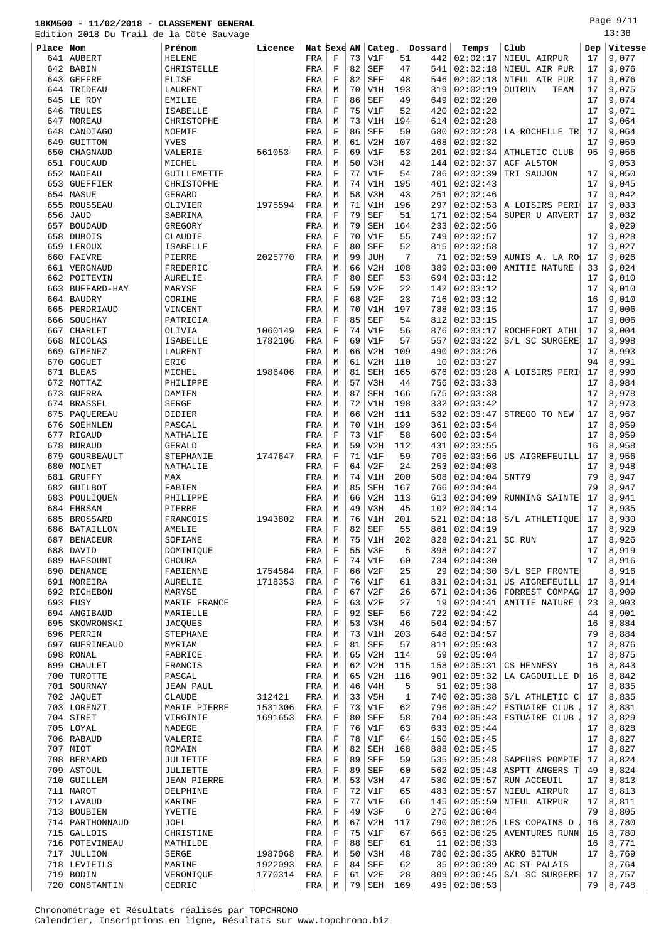713 BOUBIEN YVETTE THE FRA F 49 V3F 6 275 02:06:04 79 8,805 714 PARTHONNAUD JOEL 78 780

715 GALLOIS CHRISTINE FRA F 75 V1F 67 665 02:06:25 AVENTURES RUNN 16 8,780<br>716 POTEVINEAU MATHILDE FRA F 88 SEF 61 11 02:06:33 716 POTEVINEAU MATHILDE RA F 88 SEF 61 11 02:06:33 16 16 8,771<br>717 JULLION SERGE 1987068 FRA M 50 V3H 48 780 02:06:35 AKRO BITUM 17 8,769 JULLION SERGE 1987068 FRA M 50 V3H 48 780 02:06:35 AKRO BITUM 17 8,769

 $M | 67 | V2H | 117 | 790 | 02:06:25 | LES COPAINS D$ 

| Chronométrage et Résultats réalisés par TOPCHRONO |  |  |  |                                                                    |  |
|---------------------------------------------------|--|--|--|--------------------------------------------------------------------|--|
|                                                   |  |  |  | Calendrier, Inscriptions en ligne, Résultats sur www.topchrono.biz |  |

CONSTANTIN

| Place Nom  |                                    | Prénom                    | Licence |            | Nat Sexe AN |          | Categ.            |           | Dossard    | Temps                | Club                            | Dep      | Vitesse        |
|------------|------------------------------------|---------------------------|---------|------------|-------------|----------|-------------------|-----------|------------|----------------------|---------------------------------|----------|----------------|
| 641        | <b>AUBERT</b>                      | <b>HELENE</b>             |         | FRA        | F           | 73       | V1F               | 51        | 442        | 02:02:17             | NIEUL AIRPUR                    | 17       | 9,077          |
| 642        | BABIN                              | CHRISTELLE                |         | FRA        | F           | 82       | <b>SEF</b>        | 47        | 541        | 02:02:18             | NIEUL AIR PUR                   | 17       | 9,076          |
| 643        | <b>GEFFRE</b>                      | <b>ELISE</b>              |         | FRA        | F           | 82       | <b>SEF</b>        | 48        | 546        | 02:02:18             | NIEUL AIR PUR                   | 17       | 9,076          |
| 644        | TRIDEAU                            | LAURENT                   |         | FRA        | M           | 70       | V1H               | 193       | 319        | 02:02:19             | OUIRUN<br>TEAM                  | 17       | 9,075          |
| 645        | LE ROY                             | <b>EMILIE</b>             |         | FRA        | F           | 86       | SEF               | 49        | 649        | 02:02:20             |                                 | 17       | 9,074          |
| 646        | TRULES                             | ISABELLE                  |         | FRA        | F           | 75       | V1F               | 52        | 420        | 02:02:22             |                                 | 17       | 9,071          |
| 647        | MOREAU                             | CHRISTOPHE                |         | FRA        | M           | 73       | V1H               | 194       | 614        | 02:02:28             |                                 | 17       | 9,064          |
| 648        | CANDIAGO                           | NOEMIE                    |         | FRA        | F           | 86       | <b>SEF</b>        | 50        | 680        | 02:02:28             | LA ROCHELLE TR                  | 17       | 9,064          |
| 649        | GUITTON                            | YVES                      |         | FRA        | M           | 61       | V2H               | 107       | 468        | 02:02:32             |                                 | 17       | 9,059          |
| 650        | CHAGNAUD                           | VALERIE                   | 561053  | FRA        | F           | 69       | V1F               | 53        | 201        | 02:02:34             | ATHLETIC CLUB                   | 95       | 9,056          |
| 651        | FOUCAUD                            | MICHEL                    |         | FRA        | М           | 50       | V3H               | 42        | 144        | 02:02:37             | ACF ALSTOM                      |          | 9,053          |
| 652<br>653 | <b>NADEAU</b><br><b>GUEFFIER</b>   | GUILLEMETTE<br>CHRISTOPHE |         | FRA        | F<br>M      | 77<br>74 | V1F<br>V1H        | 54<br>195 | 786<br>401 | 02:02:39<br>02:02:43 | TRI SAUJON                      | 17<br>17 | 9,050<br>9,045 |
| 654        | MASUE                              | GERARD                    |         | FRA<br>FRA | M           | 58       | V3H               | 43        | 251        | 02:02:46             |                                 | 17       | 9,042          |
| 655        | ROUSSEAU                           | OLIVIER                   | 1975594 | FRA        | М           | 71       | V1H               | 196       | 297        | 02:02:53             | A LOISIRS PERI                  | 17       | 9,033          |
| 656        | <b>JAUD</b>                        | SABRINA                   |         | FRA        | F           | 79       | <b>SEF</b>        | 51        | 171        | 02:02:54             | SUPER U ARVERT                  | 17       | 9,032          |
| 657        | <b>BOUDAUD</b>                     | GREGORY                   |         | FRA        | M           | 79       | SEH               | 164       | 233        | 02:02:56             |                                 |          | 9,029          |
| 658        | DUBOIS                             | CLAUDIE                   |         | FRA        | F           | 70       | V1F               | 55        | 749        | 02:02:57             |                                 | 17       | 9,028          |
| 659        | LEROUX                             | ISABELLE                  |         | FRA        | F           | 80       | <b>SEF</b>        | 52        | 815        | 02:02:58             |                                 | 17       | 9,027          |
| 660        | FAIVRE                             | PIERRE                    | 2025770 | FRA        | М           | 99       | <b>JUH</b>        | 7         | 71         | 02:02:59             | AUNIS A. LA RO                  | 17       | 9,026          |
| 661        | VERGNAUD                           | FREDERIC                  |         | FRA        | M           | 66       | V2H               | 108       | 389        | 02:03:00             | AMITIE NATURE                   | 33       | 9,024          |
| 662        | POITEVIN                           | <b>AURELIE</b>            |         | FRA        | F           | 80       | <b>SEF</b>        | 53        | 694        | 02:03:12             |                                 | 17       | 9,010          |
| 663        | BUFFARD-HAY                        | MARYSE                    |         | FRA        | F           | 59       | V2F               | 22        | 142        | 02:03:12             |                                 | 17       | 9,010          |
| 664        | <b>BAUDRY</b>                      | CORINE                    |         | FRA        | F           | 68       | V2F               | 23        | 716        | 02:03:12             |                                 | 16       | 9,010          |
| 665        | PERDRIAUD                          | VINCENT                   |         | FRA        | М           | 70       | V1H               | 197       | 788        | 02:03:15             |                                 | 17       | 9,006          |
| 666        | SOUCHAY                            | PATRICIA                  |         | FRA        | F           | 85       | <b>SEF</b>        | 54        | 812        | 02:03:15             |                                 | 17       | 9,006          |
| 667        | <b>CHARLET</b>                     | OLIVIA                    | 1060149 | FRA        | F           | 74       | V1F               | 56        | 876        | 02:03:17             | ROCHEFORT ATHL                  | 17       | 9,004          |
| 668        | NICOLAS                            | ISABELLE                  | 1782106 | FRA        | F           | 69       | V1F               | 57        | 557        | 02:03:22             | S/L SC SURGERE                  | 17       | 8,998          |
| 669        | <b>GIMENEZ</b>                     | LAURENT                   |         | FRA        | М           | 66       | V2H               | 109       | 490        | 02:03:26             |                                 | 17       | 8,993          |
| 670        | <b>GOGUET</b>                      | ERIC                      |         | FRA        | M           | 61       | V2H               | 110       | 10         | 02:03:27             |                                 | 94       | 8,991          |
| 671        | <b>BLEAS</b>                       | MICHEL                    | 1986406 | FRA        | M           | 81       | <b>SEH</b>        | 165       | 676        | 02:03:28             | A LOISIRS PERI                  | 17       | 8,990          |
| 672        | MOTTAZ                             | PHILIPPE                  |         | FRA        | M           | 57       | V3H               | 44        | 756        | 02:03:33             |                                 | 17       | 8,984          |
| 673        | <b>GUERRA</b>                      | DAMIEN                    |         | FRA        | М           | 87       | SEH               | 166       | 575        | 02:03:38             |                                 | 17       | 8,978          |
| 674        | <b>BRASSEL</b>                     | <b>SERGE</b>              |         | FRA        | M           | 72       | V1H               | 198       | 332        | 02:03:42             |                                 | 17       | 8,973          |
| 675        | PAQUEREAU                          | DIDIER                    |         | FRA        | М           | 66       | V2H               | 111       | 532        | 02:03:47             | STREGO TO NEW                   | 17       | 8,967          |
| 676        | SOEHNLEN                           | PASCAL                    |         | FRA        | М           | 70       | V1H               | 199       | 361        | 02:03:54             |                                 | 17       | 8,959          |
| 677        | RIGAUD                             | NATHALIE<br><b>GERALD</b> |         | FRA        | F           | 73<br>59 | V1F<br>V2H        | 58<br>112 | 600<br>431 | 02:03:54<br>02:03:55 |                                 | 17<br>16 | 8,959          |
| 678<br>679 | <b>BURAUD</b><br><b>GOURBEAULT</b> | STEPHANIE                 | 1747647 | FRA<br>FRA | M<br>F      | 71       | V1F               | 59        | 705        | 02:03:56             | US AIGREFEUILL                  | 17       | 8,958<br>8,956 |
| 680        | MOINET                             | NATHALIE                  |         | FRA        | F           | 64       | V2F               | 24        | 253        | 02:04:03             |                                 | 17       | 8,948          |
| 681        | <b>GRUFFY</b>                      | MAX                       |         | FRA        | М           | 74       | V1H               | 200       | 508        | 02:04:04             | SNT79                           | 79       | 8,947          |
| 682        | GUILBOT                            | FABIEN                    |         | FRA        | M           | 85       | SEH               | 167       | 766        | 02:04:04             |                                 | 79       | 8,947          |
|            | 683   POULIQUEN                    | PHILIPPE                  |         | FRA        | М           | 66       | V2H               | 113       | 613        | 02:04:09             | RUNNING SAINTE                  | 17       | 8,941          |
|            | 684 EHRSAM                         | PIERRE                    |         | FRA        | M           | 49       | V3H               | 45        |            | 102   02:04:14       |                                 | 17       | 8,935          |
|            | 685   BROSSARD                     | FRANCOIS                  | 1943802 | FRA        | М           | 76       | V1H               | 201       | 521        | 02:04:18             | S/L ATHLETIQUE                  | 17       | 8,930          |
|            | 686   BATAILLON                    | AMELIE                    |         | FRA        | F           | 82       | SEF               | 55        | 861        | 02:04:19             |                                 | 17       | 8,929          |
|            | 687   BENACEUR                     | SOFIANE                   |         | FRA        | М           | 75       | V1H               | 202       | 828        | 02:04:21             | SC RUN                          | 17       | 8,926          |
|            | 688 DAVID                          | DOMINIQUE                 |         | FRA        | F           | 55       | V3F               | 5         | 398        | 02:04:27             |                                 | 17       | 8,919          |
|            | 689   HAFSOUNI                     | <b>CHOURA</b>             |         | FRA        | F           | 74       | V1F               | 60        | 734        | 02:04:30             |                                 | 17       | 8,916          |
|            | 690   DENANCE                      | FABIENNE                  | 1754584 | FRA        | F           | 66       | V2F               | 25        | 29         | 02:04:30             | S/L SEP FRONTE                  |          | 8,916          |
|            | 691   MOREIRA                      | AURELIE                   | 1718353 | FRA        | F           | 76       | V1F               | 61        | 831        | 02:04:31             | US AIGREFEUILL                  | 17       | 8,914          |
|            | 692 RICHEBON                       | MARYSE                    |         | FRA        | F           | 67       | V2F               | 26        | 671        | 02:04:36             | FORREST COMPAG                  | 17       | 8,909          |
|            | 693 FUSY                           | MARIE FRANCE              |         | FRA        | F           | 63       | V2F               | 27        | 19         | 02:04:41             | AMITIE NATURE                   | 23       | 8,903          |
|            | 694   ANGIBAUD                     | MARIELLE                  |         | FRA        | F           | 92       | SEF               | 56        | 722        | 02:04:42             |                                 | 44       | 8,901          |
|            | 695   SKOWRONSKI                   | <b>JACQUES</b>            |         | FRA        | М           | 53       | V3H               | 46        | 504        | 02:04:57             |                                 | 16       | 8,884          |
|            | 696 PERRIN                         | STEPHANE                  |         | FRA        | М           | 73       | V1H               | 203       | 648        | 02:04:57             |                                 | 79       | 8,884          |
| 697        | GUERINEAUD                         | MYRIAM                    |         | FRA        | F           | 81       | SEF               | 57        | 811        | 02:05:03             |                                 | 17       | 8,876          |
|            | 698 RONAL                          | FABRICE                   |         | FRA        | М           | 65       | V2H               | 114       | 59         | 02:05:04             |                                 | 17       | 8,875          |
|            | 699   CHAULET                      | FRANCIS                   |         | FRA        | М           | 62       | V2H               | 115       | 158        | 02:05:31             | CS HENNESY                      | 16       | 8,843          |
|            | 700 TUROTTE                        | PASCAL                    |         | FRA        | М           | 65       | V2H               | 116       | 901        | 02:05:32             | LA CAGOUILLE D                  | 16       | 8,842          |
|            | 701   SOURNAY                      | JEAN PAUL                 |         | FRA        | М           | 46       | V4H               | 5         |            | 51   02:05:38        |                                 | 17       | 8,835          |
|            | 702 JAQUET                         | CLAUDE                    | 312421  | FRA        | М           | 33       | V5H               | 1         | 740        | 02:05:38             | S/L ATHLETIC C                  | 17       | 8,835          |
|            | 703 LORENZI                        | MARIE PIERRE              | 1531306 | FRA        | F           | 73       | V1F               | 62        | 796        | 02:05:42             | <b>ESTUAIRE CLUB</b>            | 17       | 8,831          |
|            | $704$ SIRET                        | VIRGINIE                  | 1691653 | FRA        | F           | 80       | SEF               | 58        | 704        | 02:05:43             | ESTUAIRE CLUB                   | 17       | 8,829          |
|            | $705$ LOYAL                        | NADEGE                    |         | FRA        | F           | 76       | V1F               | 63        |            | 633   02:05:44       |                                 | 17       | 8,828          |
|            | 706 RABAUD<br>707   MIOT           | VALERIE                   |         | FRA        | F           | 78       | V1F               | 64<br>168 | 150        | 02:05:45             |                                 | 17<br>17 | 8,827          |
|            | 708   BERNARD                      | ROMAIN                    |         | FRA        | М<br>F      | 82<br>89 | SEH<br><b>SEF</b> | 59        | 888<br>535 | 02:05:45<br>02:05:48 | SAPEURS POMPIE                  | 17       | 8,827<br>8,824 |
|            | 709 ASTOUL                         | JULIETTE<br>JULIETTE      |         | FRA<br>FRA | F           | 89       | SEF               | 60        | 562        | 02:05:48             | ASPTT ANGERS T                  | 49       | 8,824          |
|            | 710 GUILLEM                        | JEAN PIERRE               |         | FRA        | М           | 53       | V3H               | 47        |            |                      | 580   02:05:57   RUN ACCEUIL    | 17       | 8,813          |
|            | 711   MAROT                        | DELPHINE                  |         | FRA        | F           | 72       | V1F               | 65        | 483        | 02:05:57             | NIEUL AIRPUR                    | 17       | 8,813          |
|            | 712 LAVAUD                         | KARINE                    |         | FRA        | F           |          | $77$ $V1F$        | 66        |            |                      | $145   02:05:59  $ NIEUL AIRPUR | 17       | 8,811          |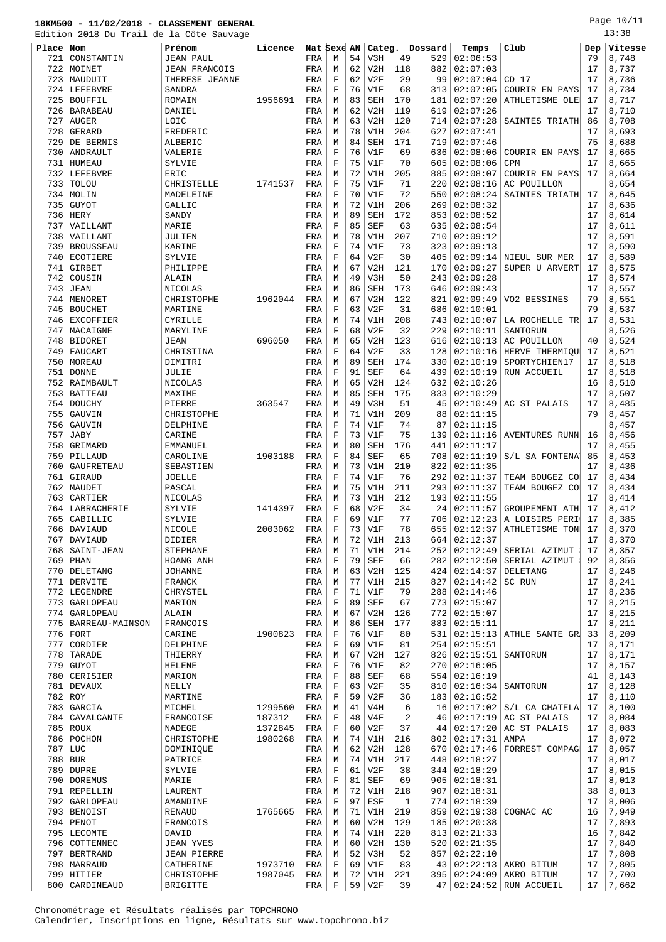# **18KM500 - 11/02/2018 - CLASSEMENT GENERAL** Edition 2018 Du Trail de la Côte Sau<br> **Place Nom**<br>
721 CONSTANTIN JEAN PAUL

|           | Edition 2018 Du Trail de la Côte Sauvage |                |         |       |    |    |                         |     |         |                       |                                  |                | 13:38            |
|-----------|------------------------------------------|----------------|---------|-------|----|----|-------------------------|-----|---------|-----------------------|----------------------------------|----------------|------------------|
| Place Nom |                                          | Prénom         | Licence |       |    |    | Nat Sexe AN   Categ.    |     | Dossard | Temps                 | Club                             |                | $Dep$ $V$ itesse |
|           | 721 CONSTANTIN                           | JEAN PAUL      |         | FRA   | М  | 54 | V3H                     | 49  |         | 529   02:06:53        |                                  | 79             | 8,748            |
|           | 722   MOINET                             | JEAN FRANCOIS  |         | FRA   | М  | 62 | V2H                     | 118 |         | 882 02:07:03          |                                  | 17             | 8,737            |
|           | 723   MAUDUIT                            | THERESE JEANNE |         | FRA   | п. | 62 | V2F                     | 29  |         | 99   02:07:04   CD 17 |                                  | 17             | 8,736            |
|           | סמוססים עד לו                            | CANDRA         |         | ת כדם | п. |    | $76 \pm 771$ $\text{F}$ | 601 |         |                       | $212$ 02:07:05 $\sim$ 0110 TD FM | 7 <sub>7</sub> | 721<br>$\circ$   |

Page 10/11

| 722 | MOINET                       | <b>JEAN FRANCOIS</b>   |         | FRA        | М           | 62       | V2H        | 118       | 882 | 02:07:03 |                                           | 17       | 8,737          |
|-----|------------------------------|------------------------|---------|------------|-------------|----------|------------|-----------|-----|----------|-------------------------------------------|----------|----------------|
| 723 | MAUDUIT                      | THERESE JEANNE         |         | FRA        | F           | 62       | V2F        | 29        | 99  | 02:07:04 | CD <sub>17</sub>                          | 17       | 8,736          |
| 724 | LEFEBVRE                     | SANDRA                 |         | FRA        | F           | 76       | V1F        | 68        | 313 | 02:07:05 | COURIR EN PAYS                            | 17       | 8,734          |
| 725 | BOUFFIL                      | ROMAIN                 | 1956691 | FRA        | M           | 83       | <b>SEH</b> | 170       | 181 | 02:07:20 | ATHLETISME OLE                            | 17       | 8,717          |
| 726 | BARABEAU                     | DANIEL                 |         | FRA        | М           | 62       | V2H        | 119       | 619 | 02:07:26 |                                           | 17       | 8,710          |
| 727 | AUGER                        | LOIC                   |         | FRA        | М           | 63       | V2H        | 120       | 714 | 02:07:28 | SAINTES TRIATH                            | 86       | 8,708          |
| 728 | GERARD                       | FREDERIC               |         | FRA        | М           | 78       | V1H        | 204       | 627 | 02:07:41 |                                           | 17       | 8,693          |
|     |                              | <b>ALBERIC</b>         |         |            |             |          |            |           |     |          |                                           | 75       |                |
| 729 | DE BERNIS                    |                        |         | FRA        | М           | 84       | SEH        | 171       | 719 | 02:07:46 |                                           |          | 8,688          |
| 730 | ANDRAULT                     | VALERIE                |         | FRA        | $\mathbf F$ | 76       | V1F        | 69        | 636 | 02:08:06 | COURIR EN PAYS                            | 17       | 8,665          |
| 731 | HUMEAU                       | SYLVIE                 |         | FRA        | F           | 75       | V1F        | 70        | 605 | 02:08:06 | <b>CPM</b>                                | 17       | 8,665          |
| 732 | LEFEBVRE                     | ERIC                   |         | FRA        | М           | 72       | V1H        | 205       | 885 | 02:08:07 | COURIR EN PAYS                            | 17       | 8,664          |
| 733 | TOLOU                        | CHRISTELLE             | 1741537 | FRA        | $\mathbf F$ | 75       | V1F        | 71        | 220 | 02:08:16 | AC POUILLON                               |          | 8,654          |
| 734 | MOLIN                        | MADELEINE              |         | FRA        | $\mathbf F$ | 70       | V1F        | 72        | 550 | 02:08:24 | SAINTES TRIATH                            | 17       | 8,645          |
| 735 | <b>GUYOT</b>                 | GALLIC                 |         | FRA        | М           | 72       | V1H        | 206       | 269 | 02:08:32 |                                           | 17       | 8,636          |
| 736 | HERY                         | SANDY                  |         |            |             | 89       | <b>SEH</b> | 172       | 853 | 02:08:52 |                                           | 17       | 8,614          |
|     |                              |                        |         | FRA        | М           |          |            |           |     |          |                                           |          |                |
| 737 | VAILLANT                     | MARIE                  |         | FRA        | $\mathbf F$ | 85       | <b>SEF</b> | 63        | 635 | 02:08:54 |                                           | 17       | 8,611          |
| 738 | VAILLANT                     | JULIEN                 |         | FRA        | M           | 78       | V1H        | 207       | 710 | 02:09:12 |                                           | 17       | 8,591          |
| 739 | <b>BROUSSEAU</b>             | KARINE                 |         | FRA        | $\mathbf F$ | 74       | V1F        | 73        | 323 | 02:09:13 |                                           | 17       | 8,590          |
| 740 | ECOTIERE                     | SYLVIE                 |         | FRA        | F           | 64       | V2F        | 30        | 405 | 02:09:14 | NIEUL SUR MER                             | 17       | 8,589          |
| 741 | <b>GIRBET</b>                | PHILIPPE               |         | FRA        | M           | 67       | V2H        | 121       | 170 | 02:09:27 | SUPER U ARVERT                            | 17       | 8,575          |
| 742 | COUSIN                       | ALAIN                  |         | FRA        | М           | 49       | V3H        | 50        | 243 | 02:09:28 |                                           | 17       | 8,574          |
| 743 | JEAN                         | NICOLAS                |         | FRA        | М           | 86       | <b>SEH</b> | 173       | 646 | 02:09:43 |                                           | 17       | 8,557          |
| 744 | MENORET                      | CHRISTOPHE             | 1962044 | FRA        | M           | 67       | V2H        | 122       | 821 | 02:09:49 | VO2 BESSINES                              | 79       | 8,551          |
|     |                              |                        |         |            |             |          |            |           |     |          |                                           |          |                |
| 745 | <b>BOUCHET</b>               | MARTINE                |         | FRA        | F           | 63       | V2F        | 31        | 686 | 02:10:01 |                                           | 79       | 8,537          |
| 746 | EXCOFFIER                    | CYRILLE                |         | FRA        | M           | 74       | V1H        | 208       | 743 | 02:10:07 | LA ROCHELLE TR                            | 17       | 8,531          |
| 747 | MACAIGNE                     | MARYLINE               |         | FRA        | F           | 68       | V2F        | 32        | 229 | 02:10:11 | SANTORUN                                  |          | 8,526          |
| 748 | BIDORET                      | JEAN                   | 696050  | FRA        | М           | 65       | V2H        | 123       | 616 | 02:10:13 | AC POUILLON                               | 40       | 8,524          |
| 749 | FAUCART                      | CHRISTINA              |         | FRA        | F           | 64       | V2F        | 33        | 128 | 02:10:16 | HERVE THERMIQU                            | 17       | 8,521          |
| 750 | MOREAU                       | DIMITRI                |         | FRA        | M           | 89       | SEH        | 174       | 330 | 02:10:19 | SPORTYCHIEN17                             | 17       | 8,518          |
| 751 | <b>DONNE</b>                 | JULIE                  |         | FRA        | $\mathbf F$ | 91       | <b>SEF</b> | 64        | 439 | 02:10:19 | RUN ACCUEIL                               | 17       | 8,518          |
| 752 | RAIMBAULT                    | NICOLAS                |         | FRA        | М           | 65       | V2H        | 124       | 632 | 02:10:26 |                                           | 16       | 8,510          |
|     |                              |                        |         |            |             |          |            |           |     |          |                                           |          |                |
| 753 | <b>BATTEAU</b>               | MAXIME                 |         | FRA        | М           | 85       | <b>SEH</b> | 175       | 833 | 02:10:29 |                                           | 17       | 8,507          |
| 754 | <b>DOUCHY</b>                | PIERRE                 | 363547  | FRA        | М           | 49       | V3H        | 51        | 45  | 02:10:49 | AC ST PALAIS                              | 17       | 8,485          |
| 755 | GAUVIN                       | CHRISTOPHE             |         | FRA        | M           | 71       | V1H        | 209       | 88  | 02:11:15 |                                           | 79       | 8,457          |
| 756 | GAUVIN                       | DELPHINE               |         | FRA        | F           | 74       | V1F        | 74        | 87  | 02:11:15 |                                           |          | 8,457          |
| 757 | JABY                         | CARINE                 |         | FRA        | $\mathbf F$ | 73       | V1F        | 75        | 139 | 02:11:16 | AVENTURES RUNN                            | 16       | 8,456          |
| 758 | GRIMARD                      | EMMANUEL               |         | FRA        | M           | 80       | SEH        | 176       | 441 | 02:11:17 |                                           | 17       | 8,455          |
| 759 | PILLAUD                      | CAROLINE               | 1903188 | FRA        | $\mathbf F$ | 84       | <b>SEF</b> | 65        | 708 | 02:11:19 | S/L SA FONTENA                            | 85       | 8,453          |
| 760 | GAUFRETEAU                   | SEBASTIEN              |         | FRA        | M           | 73       | V1H        | 210       | 822 | 02:11:35 |                                           | 17       | 8,436          |
|     |                              |                        |         |            |             |          |            |           |     |          |                                           |          |                |
| 761 | GIRAUD                       | <b>JOELLE</b>          |         | FRA        | F           | 74       | V1F        | 76        | 292 | 02:11:37 | TEAM BOUGEZ CO                            | 17       | 8,434          |
| 762 | MAUDET                       | PASCAL                 |         | FRA        | M           | 75       | V1H        | 211       | 293 | 02:11:37 | TEAM BOUGEZ CO                            | 17       | 8,434          |
| 763 | CARTIER                      | NICOLAS                |         | FRA        | М           | 73       | V1H        | 212       | 193 | 02:11:55 |                                           | 17       | 8,414          |
| 764 | LABRACHERIE                  | SYLVIE                 | 1414397 | FRA        | $\mathbf F$ | 68       | V2F        | 34        | 24  | 02:11:57 | GROUPEMENT ATH                            | 17       | 8,412          |
| 765 | CABILLIC                     | SYLVIE                 |         | FRA        | F           | 69       | V1F        | 77        | 706 | 02:12:23 | A LOISIRS PERI                            | 17       | 8,385          |
| 766 | DAVIAUD                      | NICOLE                 | 2003062 | FRA        | F           | 73       | V1F        | 78        | 655 | 02:12:37 | ATHLETISME TON                            | 17       | 8,370          |
| 767 | DAVIAUD                      | DIDIER                 |         | FRA        | М           | 72       | V1H        | 213       | 664 | 02:12:37 |                                           | 17       | 8,370          |
| 768 | SAINT-JEAN                   | STEPHANE               |         | FRA        | М           | 71       | V1H        | 214       | 252 | 02:12:49 | SERIAL AZIMUT                             | 17       | 8,357          |
| 769 | PHAN                         | HOANG ANH              |         | FRA        | F           | 79       | <b>SEF</b> | 66        | 282 | 02:12:50 | SERIAL AZIMUT                             | 92       | 8,356          |
|     |                              |                        |         |            |             |          |            |           |     |          |                                           |          |                |
| 770 | DELETANG                     | JOHANNE                |         | FRA        | M           | 63       | V2H        | 125       | 424 | 02:14:37 | DELETANG                                  | 17       | 8,246          |
|     | 771 DERVITE                  | FRANCK                 |         | FRA        | М           | 77       | V1H        | 215       | 827 | 02:14:42 | SC RUN                                    | 17       | 8,241          |
| 772 | LEGENDRE                     | CHRYSTEL               |         | FRA        | $\mathbf F$ | 71       | V1F        | 79        | 288 | 02:14:46 |                                           | 17       | 8,236          |
| 773 | GARLOPEAU                    | MARION                 |         | FRA        | F           | 89       | <b>SEF</b> | 67        | 773 | 02:15:07 |                                           | 17       | 8,215          |
|     | 774 GARLOPEAU                | ALAIN                  |         | FRA        | М           | 67       | V2H        | 126       | 772 | 02:15:07 |                                           | 17       | 8,215          |
| 775 | BARREAU-MAINSON              | FRANCOIS               |         | FRA        | M           | 86       | <b>SEH</b> | 177       | 883 | 02:15:11 |                                           | 17       | 8,211          |
|     | $776$ FORT                   | CARINE                 | 1900823 | FRA        | $\mathbf F$ | 76       | V1F        | 80        | 531 | 02:15:13 | ATHLE SANTE GR                            | 33       | 8,209          |
| 777 | CORDIER                      | DELPHINE               |         | FRA        | F           | 69       | V1F        | 81        | 254 | 02:15:51 |                                           | 17       | 8,171          |
|     | $778$ TARADE                 | THIERRY                |         | FRA        | М           | 67       | V2H        | 127       | 826 | 02:15:51 | SANTORUN                                  | 17       | 8,171          |
| 779 | <b>GUYOT</b>                 |                        |         |            |             |          |            |           |     |          |                                           |          | 8,157          |
|     |                              |                        |         |            |             |          |            |           |     |          |                                           |          |                |
|     |                              | <b>HELENE</b>          |         | FRA        | $\mathbf F$ | 76       | V1F        | 82        | 270 | 02:16:05 |                                           | 17       |                |
|     | 780 CERISIER                 | MARION                 |         | FRA        | $\mathbf F$ | 88       | <b>SEF</b> | 68        | 554 | 02:16:19 |                                           | 41       | 8,143          |
|     | 781 DEVAUX                   | NELLY                  |         | FRA        | F           | 63       | V2F        | 35        | 810 | 02:16:34 | SANTORUN                                  | 17       | 8,128          |
|     | 782 ROY                      | MARTINE                |         | FRA        | $\mathbf F$ | 59       | V2F        | 36        | 183 | 02:16:52 |                                           | 17       | 8,110          |
|     | 783 GARCIA                   | MICHEL                 | 1299560 | FRA        | М           | 41       | V4H        | 6         | 16  | 02:17:02 | S/L CA CHATELA                            | 17       | 8,100          |
|     |                              |                        |         |            | $\mathbf F$ | 48       | V4F        |           | 46  |          |                                           | 17       |                |
|     | 784 CAVALCANTE               | FRANCOISE              | 187312  | FRA        |             |          |            | 2         |     | 02:17:19 | AC ST PALAIS                              |          | 8,084          |
|     | 785 ROUX                     | NADEGE                 | 1372845 | FRA        | $\mathbf F$ | 60       | V2F        | 37        | 44  | 02:17:20 | AC ST PALAIS                              | 17       | 8,083          |
|     | 786   POCHON                 | CHRISTOPHE             | 1980268 | FRA        | М           | 74       | V1H        | 216       | 802 | 02:17:31 | AMPA                                      | 17       | 8,072          |
|     | 787 LUC                      | DOMINIQUE              |         | FRA        | M           | 62       | V2H        | 128       | 670 | 02:17:46 | FORREST COMPAG                            | 17       | 8,057          |
|     | $788$ BUR                    | PATRICE                |         | FRA        | М           | 74       | V1H        | 217       | 448 | 02:18:27 |                                           | 17       | 8,017          |
|     | 789 DUPRE                    | SYLVIE                 |         | FRA        | $\mathbf F$ | 61       | V2F        | 38        | 344 | 02:18:29 |                                           | 17       | 8,015          |
|     | 790   DOREMUS                | MARIE                  |         | FRA        | $\mathbf F$ | 81       | <b>SEF</b> | 69        | 905 | 02:18:31 |                                           | 17       | 8,013          |
|     | 791 REPELLIN                 | LAURENT                |         | FRA        | M           | 72       | V1H        | 218       | 907 | 02:18:31 |                                           | 38       | 8,013          |
|     | 792   GARLOPEAU              | AMANDINE               |         | FRA        | $\mathbf F$ | 97       | ESF        | 1         | 774 | 02:18:39 |                                           | 17       | 8,006          |
|     | 793 BENOIST                  | RENAUD                 | 1765665 | FRA        | М           | 71       | V1H        | 219       | 859 | 02:19:38 | COGNAC AC                                 | 16       | 7,949          |
|     | $794$ PENOT                  | FRANCOIS               |         | FRA        | М           | 60       | V2H        | 129       | 185 | 02:20:38 |                                           | 17       | 7,893          |
|     |                              |                        |         |            |             |          |            |           |     |          |                                           |          |                |
|     | 795 LECOMTE                  | DAVID                  |         | FRA        | М           | 74       | V1H        | 220       | 813 | 02:21:33 |                                           | 16       | 7,842          |
|     | 796   COTTENNEC              | JEAN YVES              |         | FRA        | M           | 60       | V2H        | 130       | 520 | 02:21:35 |                                           | 17       | 7,840          |
| 797 | <b>BERTRAND</b>              | JEAN PIERRE            |         | FRA        | M           | 52       | V3H        | 52        | 857 | 02:22:10 |                                           | 17       | 7,808          |
|     | 798   MARRAUD                | CATHERINE              | 1973710 | FRA        | $\mathbf F$ | 69       | V1F        | 83        | 43  | 02:22:13 | AKRO BITUM                                | 17       | 7,805          |
|     | 799 HITIER<br>800 CARDINEAUD | CHRISTOPHE<br>BRIGITTE | 1987045 | FRA<br>FRA | М<br>F      | 72<br>59 | V1H<br>V2F | 221<br>39 | 395 | 02:24:09 | AKRO BITUM<br>47   02:24:52   RUN ACCUELL | 17<br>17 | 7,700<br>7,662 |